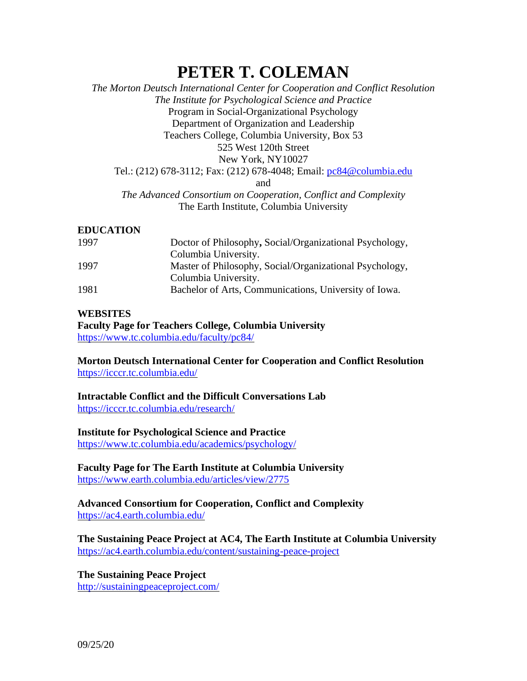# **PETER T. COLEMAN**

## *The Morton Deutsch International Center for Cooperation and Conflict Resolution The Institute for Psychological Science and Practice* Program in Social-Organizational Psychology Department of Organization and Leadership Teachers College, Columbia University, Box 53 525 West 120th Street New York, NY10027 Tel.: (212) 678-3112; Fax: (212) 678-4048; Email: [pc84@columbia.edu](mailto:pc84@columbia.edu) and *The Advanced Consortium on Cooperation, Conflict and Complexity* The Earth Institute, Columbia University

#### **EDUCATION**

| 1997 | Doctor of Philosophy, Social/Organizational Psychology, |
|------|---------------------------------------------------------|
|      | Columbia University.                                    |
| 1997 | Master of Philosophy, Social/Organizational Psychology, |
|      | Columbia University.                                    |
| 1981 | Bachelor of Arts, Communications, University of Iowa.   |

#### **WEBSITES**

**Faculty Page for Teachers College, Columbia University** <https://www.tc.columbia.edu/faculty/pc84/>

**Morton Deutsch International Center for Cooperation and Conflict Resolution** <https://icccr.tc.columbia.edu/>

## **Intractable Conflict and the Difficult Conversations Lab**

<https://icccr.tc.columbia.edu/research/>

#### **Institute for Psychological Science and Practice**

<https://www.tc.columbia.edu/academics/psychology/>

**Faculty Page for The Earth Institute at Columbia University** <https://www.earth.columbia.edu/articles/view/2775>

#### **Advanced Consortium for Cooperation, Conflict and Complexity** <https://ac4.earth.columbia.edu/>

**The Sustaining Peace Project at AC4, The Earth Institute at Columbia University** <https://ac4.earth.columbia.edu/content/sustaining-peace-project>

**The Sustaining Peace Project** <http://sustainingpeaceproject.com/>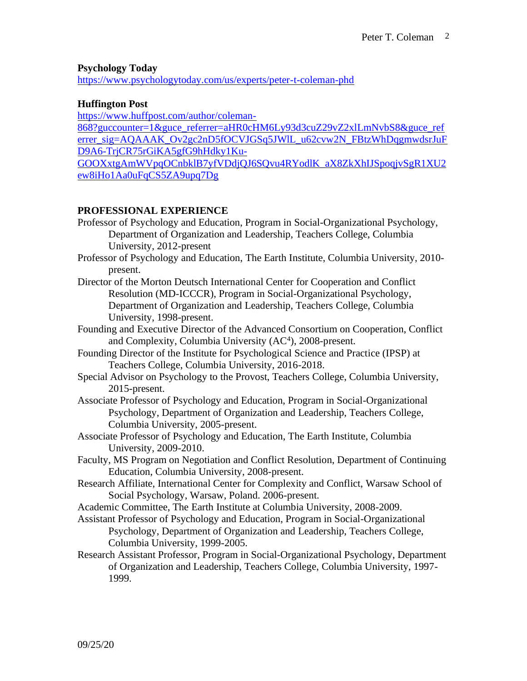#### **Psychology Today**

<https://www.psychologytoday.com/us/experts/peter-t-coleman-phd>

#### **Huffington Post**

[https://www.huffpost.com/author/coleman-](https://www.huffpost.com/author/coleman-868?guccounter=1&guce_referrer=aHR0cHM6Ly93d3cuZ29vZ2xlLmNvbS8&guce_referrer_sig=AQAAAK_Ov2gc2nD5fOCVJGSq5JWlL_u62cvw2N_FBtzWhDqgmwdsrJuFD9A6-TrjCR75rGiKA5gfG9hHdky1Ku-GOOXxtgAmWVpqOCnbklB7yfVDdjQJ6SQvu4RYodlK_aX8ZkXhIJSpoqjvSgR1XU2ew8iHo1Aa0uFqCS5ZA9upq7Dg)[868?guccounter=1&guce\\_referrer=aHR0cHM6Ly93d3cuZ29vZ2xlLmNvbS8&guce\\_ref](https://www.huffpost.com/author/coleman-868?guccounter=1&guce_referrer=aHR0cHM6Ly93d3cuZ29vZ2xlLmNvbS8&guce_referrer_sig=AQAAAK_Ov2gc2nD5fOCVJGSq5JWlL_u62cvw2N_FBtzWhDqgmwdsrJuFD9A6-TrjCR75rGiKA5gfG9hHdky1Ku-GOOXxtgAmWVpqOCnbklB7yfVDdjQJ6SQvu4RYodlK_aX8ZkXhIJSpoqjvSgR1XU2ew8iHo1Aa0uFqCS5ZA9upq7Dg) [errer\\_sig=AQAAAK\\_Ov2gc2nD5fOCVJGSq5JWlL\\_u62cvw2N\\_FBtzWhDqgmwdsrJuF](https://www.huffpost.com/author/coleman-868?guccounter=1&guce_referrer=aHR0cHM6Ly93d3cuZ29vZ2xlLmNvbS8&guce_referrer_sig=AQAAAK_Ov2gc2nD5fOCVJGSq5JWlL_u62cvw2N_FBtzWhDqgmwdsrJuFD9A6-TrjCR75rGiKA5gfG9hHdky1Ku-GOOXxtgAmWVpqOCnbklB7yfVDdjQJ6SQvu4RYodlK_aX8ZkXhIJSpoqjvSgR1XU2ew8iHo1Aa0uFqCS5ZA9upq7Dg) [D9A6-TrjCR75rGiKA5gfG9hHdky1Ku-](https://www.huffpost.com/author/coleman-868?guccounter=1&guce_referrer=aHR0cHM6Ly93d3cuZ29vZ2xlLmNvbS8&guce_referrer_sig=AQAAAK_Ov2gc2nD5fOCVJGSq5JWlL_u62cvw2N_FBtzWhDqgmwdsrJuFD9A6-TrjCR75rGiKA5gfG9hHdky1Ku-GOOXxtgAmWVpqOCnbklB7yfVDdjQJ6SQvu4RYodlK_aX8ZkXhIJSpoqjvSgR1XU2ew8iHo1Aa0uFqCS5ZA9upq7Dg)[GOOXxtgAmWVpqOCnbklB7yfVDdjQJ6SQvu4RYodlK\\_aX8ZkXhIJSpoqjvSgR1XU2](https://www.huffpost.com/author/coleman-868?guccounter=1&guce_referrer=aHR0cHM6Ly93d3cuZ29vZ2xlLmNvbS8&guce_referrer_sig=AQAAAK_Ov2gc2nD5fOCVJGSq5JWlL_u62cvw2N_FBtzWhDqgmwdsrJuFD9A6-TrjCR75rGiKA5gfG9hHdky1Ku-GOOXxtgAmWVpqOCnbklB7yfVDdjQJ6SQvu4RYodlK_aX8ZkXhIJSpoqjvSgR1XU2ew8iHo1Aa0uFqCS5ZA9upq7Dg) [ew8iHo1Aa0uFqCS5ZA9upq7Dg](https://www.huffpost.com/author/coleman-868?guccounter=1&guce_referrer=aHR0cHM6Ly93d3cuZ29vZ2xlLmNvbS8&guce_referrer_sig=AQAAAK_Ov2gc2nD5fOCVJGSq5JWlL_u62cvw2N_FBtzWhDqgmwdsrJuFD9A6-TrjCR75rGiKA5gfG9hHdky1Ku-GOOXxtgAmWVpqOCnbklB7yfVDdjQJ6SQvu4RYodlK_aX8ZkXhIJSpoqjvSgR1XU2ew8iHo1Aa0uFqCS5ZA9upq7Dg)

## **PROFESSIONAL EXPERIENCE**

- Professor of Psychology and Education, Program in Social-Organizational Psychology, Department of Organization and Leadership, Teachers College, Columbia University, 2012-present
- Professor of Psychology and Education, The Earth Institute, Columbia University, 2010 present.
- Director of the Morton Deutsch International Center for Cooperation and Conflict Resolution (MD-ICCCR), Program in Social-Organizational Psychology, Department of Organization and Leadership, Teachers College, Columbia University, 1998-present.
- Founding and Executive Director of the Advanced Consortium on Cooperation, Conflict and Complexity, Columbia University (AC<sup>4</sup>), 2008-present.
- Founding Director of the Institute for Psychological Science and Practice (IPSP) at Teachers College, Columbia University, 2016-2018.
- Special Advisor on Psychology to the Provost, Teachers College, Columbia University, 2015-present.
- Associate Professor of Psychology and Education, Program in Social-Organizational Psychology, Department of Organization and Leadership, Teachers College, Columbia University, 2005-present.
- Associate Professor of Psychology and Education, The Earth Institute, Columbia University, 2009-2010.
- Faculty, MS Program on Negotiation and Conflict Resolution, Department of Continuing Education, Columbia University, 2008-present.
- Research Affiliate, International Center for Complexity and Conflict, Warsaw School of Social Psychology, Warsaw, Poland. 2006-present.
- Academic Committee, The Earth Institute at Columbia University, 2008-2009.
- Assistant Professor of Psychology and Education, Program in Social-Organizational Psychology, Department of Organization and Leadership, Teachers College, Columbia University, 1999-2005.
- Research Assistant Professor, Program in Social-Organizational Psychology, Department of Organization and Leadership, Teachers College, Columbia University, 1997- 1999.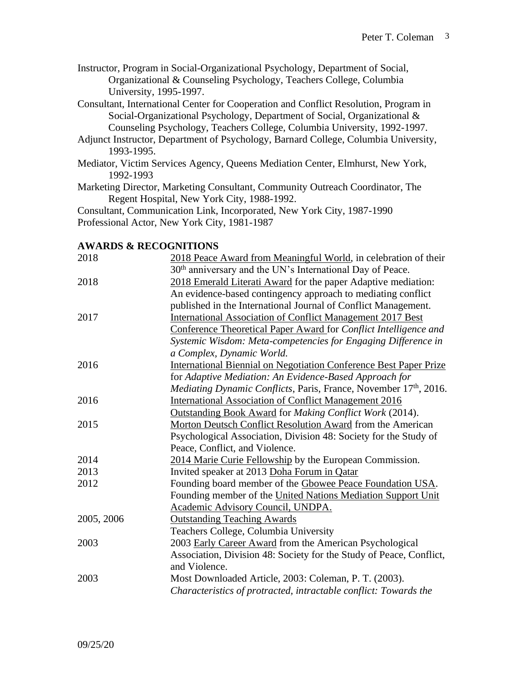- Instructor, Program in Social-Organizational Psychology, Department of Social, Organizational & Counseling Psychology, Teachers College, Columbia University, 1995-1997.
- Consultant, International Center for Cooperation and Conflict Resolution, Program in Social-Organizational Psychology, Department of Social, Organizational & Counseling Psychology, Teachers College, Columbia University, 1992-1997.
- Adjunct Instructor, Department of Psychology, Barnard College, Columbia University, 1993-1995.
- Mediator, Victim Services Agency, Queens Mediation Center, Elmhurst, New York, 1992-1993
- Marketing Director, Marketing Consultant, Community Outreach Coordinator, The Regent Hospital, New York City, 1988-1992.

Consultant, Communication Link, Incorporated, New York City, 1987-1990 Professional Actor, New York City, 1981-1987

#### **AWARDS & RECOGNITIONS**

| 2018       | 2018 Peace Award from Meaningful World, in celebration of their          |
|------------|--------------------------------------------------------------------------|
|            | 30 <sup>th</sup> anniversary and the UN's International Day of Peace.    |
| 2018       | 2018 Emerald Literati Award for the paper Adaptive mediation:            |
|            | An evidence-based contingency approach to mediating conflict             |
|            | published in the International Journal of Conflict Management.           |
| 2017       | <b>International Association of Conflict Management 2017 Best</b>        |
|            | Conference Theoretical Paper Award for Conflict Intelligence and         |
|            | Systemic Wisdom: Meta-competencies for Engaging Difference in            |
|            | a Complex, Dynamic World.                                                |
| 2016       | <b>International Biennial on Negotiation Conference Best Paper Prize</b> |
|            | for Adaptive Mediation: An Evidence-Based Approach for                   |
|            | <i>Mediating Dynamic Conflicts, Paris, France, November 17th, 2016.</i>  |
| 2016       | <b>International Association of Conflict Management 2016</b>             |
|            | Outstanding Book Award for Making Conflict Work (2014).                  |
| 2015       | Morton Deutsch Conflict Resolution Award from the American               |
|            | Psychological Association, Division 48: Society for the Study of         |
|            | Peace, Conflict, and Violence.                                           |
| 2014       | 2014 Marie Curie Fellowship by the European Commission.                  |
| 2013       | Invited speaker at 2013 Doha Forum in Qatar                              |
| 2012       | Founding board member of the Gbowee Peace Foundation USA.                |
|            | Founding member of the United Nations Mediation Support Unit             |
|            | Academic Advisory Council, UNDPA.                                        |
| 2005, 2006 | <b>Outstanding Teaching Awards</b>                                       |
|            | Teachers College, Columbia University                                    |
| 2003       | 2003 Early Career Award from the American Psychological                  |
|            | Association, Division 48: Society for the Study of Peace, Conflict,      |
|            | and Violence.                                                            |
| 2003       | Most Downloaded Article, 2003: Coleman, P. T. (2003).                    |
|            | Characteristics of protracted, intractable conflict: Towards the         |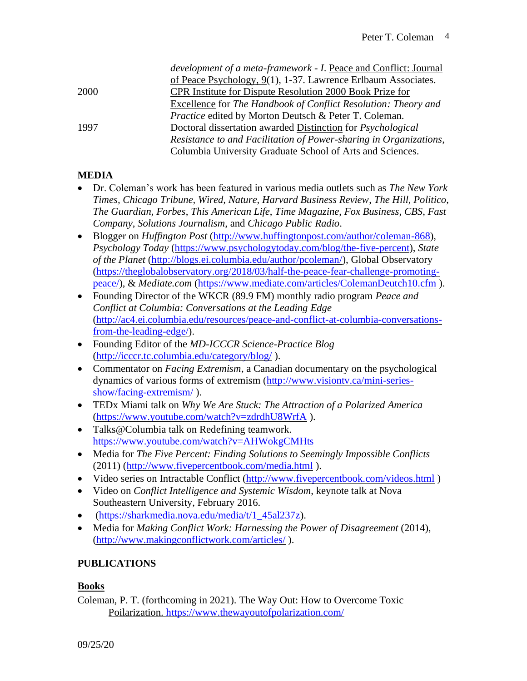|      | development of a meta-framework - I. Peace and Conflict: Journal  |
|------|-------------------------------------------------------------------|
|      | of Peace Psychology, 9(1), 1-37. Lawrence Erlbaum Associates.     |
| 2000 | <b>CPR</b> Institute for Dispute Resolution 2000 Book Prize for   |
|      | Excellence for The Handbook of Conflict Resolution: Theory and    |
|      | <i>Practice</i> edited by Morton Deutsch & Peter T. Coleman.      |
| 1997 | Doctoral dissertation awarded Distinction for Psychological       |
|      | Resistance to and Facilitation of Power-sharing in Organizations, |
|      | Columbia University Graduate School of Arts and Sciences.         |
|      |                                                                   |

## **MEDIA**

- Dr. Coleman's work has been featured in various media outlets such as *The New York Times, Chicago Tribune, Wired, Nature, Harvard Business Review*, *The Hill, Politico*, *The Guardian, Forbes*, *This American Life*, *Time Magazine*, *Fox Business*, *CBS*, *Fast Company*, *Solutions Journalism*, and *Chicago Public Radio*.
- Blogger on *Huffington Post* [\(http://www.huffingtonpost.com/author/coleman-868\)](http://www.huffingtonpost.com/author/coleman-868), *Psychology Today* [\(https://www.psychologytoday.com/blog/the-five-percent\)](https://www.psychologytoday.com/blog/the-five-percent), *State of the Planet* [\(http://blogs.ei.columbia.edu/author/pcoleman/\)](http://blogs.ei.columbia.edu/author/pcoleman/), Global Observatory [\(https://theglobalobservatory.org/2018/03/half-the-peace-fear-challenge-promoting](https://theglobalobservatory.org/2018/03/half-the-peace-fear-challenge-promoting-peace/)[peace/\)](https://theglobalobservatory.org/2018/03/half-the-peace-fear-challenge-promoting-peace/), & *Mediate.com* [\(https://www.mediate.com/articles/ColemanDeutch10.cfm](https://www.mediate.com/articles/ColemanDeutch10.cfm) ).
- Founding Director of the WKCR (89.9 FM) monthly radio program *Peace and Conflict at Columbia: Conversations at the Leading Edge* [\(http://ac4.ei.columbia.edu/resources/peace-and-conflict-at-columbia-conversations](http://ac4.ei.columbia.edu/resources/peace-and-conflict-at-columbia-conversations-from-the-leading-edge/)[from-the-leading-edge/\)](http://ac4.ei.columbia.edu/resources/peace-and-conflict-at-columbia-conversations-from-the-leading-edge/).
- Founding Editor of the *MD-ICCCR Science-Practice Blog* [\(http://icccr.tc.columbia.edu/category/blog/](http://icccr.tc.columbia.edu/category/blog/) ).
- Commentator on *Facing Extremism*, a Canadian documentary on the psychological dynamics of various forms of extremism [\(http://www.visiontv.ca/mini-series](http://www.visiontv.ca/mini-series-show/facing-extremism/)[show/facing-extremism/](http://www.visiontv.ca/mini-series-show/facing-extremism/) ).
- TEDx Miami talk on *Why We Are Stuck: The Attraction of a Polarized America* [\(https://www.youtube.com/watch?v=zdrdhU8WrfA](https://www.youtube.com/watch?v=zdrdhU8WrfA) ).
- Talks@Columbia talk on Redefining teamwork. <https://www.youtube.com/watch?v=AHWokgCMHts>
- Media for *The Five Percent: Finding Solutions to Seemingly Impossible Conflicts* (2011) [\(http://www.fivepercentbook.com/media.html](http://www.fivepercentbook.com/media.html) ).
- Video series on Intractable Conflict [\(http://www.fivepercentbook.com/videos.html](http://www.fivepercentbook.com/videos.html))
- Video on *Conflict Intelligence and Systemic Wisdom*, keynote talk at Nova Southeastern University, February 2016.
- [\(https://sharkmedia.nova.edu/media/t/1\\_45al237z\)](https://sharkmedia.nova.edu/media/t/1_45al237z).
- Media for *Making Conflict Work: Harnessing the Power of Disagreement* (2014), [\(http://www.makingconflictwork.com/articles/](http://www.makingconflictwork.com/articles/) ).

# **PUBLICATIONS**

## **Books**

Coleman, P. T. (forthcoming in 2021). The Way Out: How to Overcome Toxic Poilarization. <https://www.thewayoutofpolarization.com/>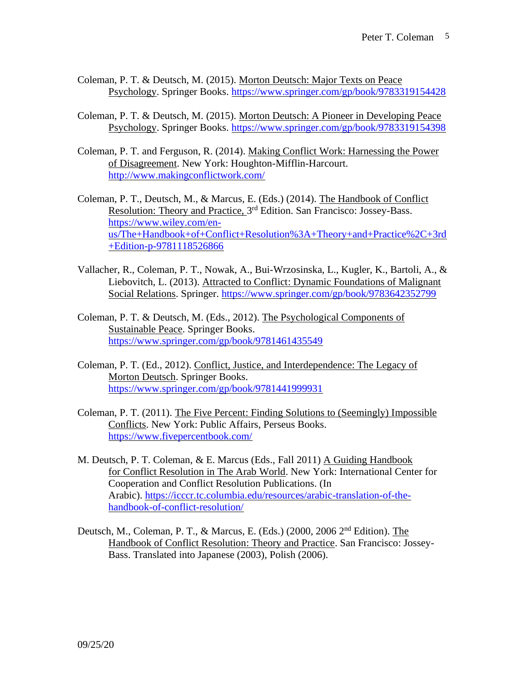- Coleman, P. T. & Deutsch, M. (2015). Morton Deutsch: Major Texts on Peace Psychology. Springer Books. <https://www.springer.com/gp/book/9783319154428>
- Coleman, P. T. & Deutsch, M. (2015). Morton Deutsch: A Pioneer in Developing Peace Psychology. Springer Books. <https://www.springer.com/gp/book/9783319154398>
- Coleman, P. T. and Ferguson, R. (2014). Making Conflict Work: Harnessing the Power of Disagreement. New York: Houghton-Mifflin-Harcourt. <http://www.makingconflictwork.com/>
- Coleman, P. T., Deutsch, M., & Marcus, E. (Eds.) (2014). The Handbook of Conflict Resolution: Theory and Practice, 3<sup>rd</sup> Edition. San Francisco: Jossey-Bass. [https://www.wiley.com/en](https://www.wiley.com/en-us/The+Handbook+of+Conflict+Resolution%3A+Theory+and+Practice%2C+3rd+Edition-p-9781118526866)[us/The+Handbook+of+Conflict+Resolution%3A+Theory+and+Practice%2C+3rd](https://www.wiley.com/en-us/The+Handbook+of+Conflict+Resolution%3A+Theory+and+Practice%2C+3rd+Edition-p-9781118526866) [+Edition-p-9781118526866](https://www.wiley.com/en-us/The+Handbook+of+Conflict+Resolution%3A+Theory+and+Practice%2C+3rd+Edition-p-9781118526866)
- Vallacher, R., Coleman, P. T., Nowak, A., Bui-Wrzosinska, L., Kugler, K., Bartoli, A., & Liebovitch, L. (2013). Attracted to Conflict: Dynamic Foundations of Malignant Social Relations. Springer. <https://www.springer.com/gp/book/9783642352799>
- Coleman, P. T. & Deutsch, M. (Eds., 2012). The Psychological Components of Sustainable Peace. Springer Books. <https://www.springer.com/gp/book/9781461435549>
- Coleman, P. T. (Ed., 2012). Conflict, Justice, and Interdependence: The Legacy of Morton Deutsch. Springer Books. <https://www.springer.com/gp/book/9781441999931>
- Coleman, P. T. (2011). The Five Percent: Finding Solutions to (Seemingly) Impossible Conflicts. New York: Public Affairs, Perseus Books. <https://www.fivepercentbook.com/>
- M. Deutsch, P. T. Coleman, & E. Marcus (Eds., Fall 2011) A Guiding Handbook for Conflict Resolution in The Arab World. New York: International Center for Cooperation and Conflict Resolution Publications. (In Arabic). [https://icccr.tc.columbia.edu/resources/arabic-translation-of-the](https://icccr.tc.columbia.edu/resources/arabic-translation-of-the-handbook-of-conflict-resolution/)[handbook-of-conflict-resolution/](https://icccr.tc.columbia.edu/resources/arabic-translation-of-the-handbook-of-conflict-resolution/)
- Deutsch, M., Coleman, P. T., & Marcus, E. (Eds.) (2000, 2006 2nd Edition). The Handbook of Conflict Resolution: Theory and Practice. San Francisco: Jossey-Bass. Translated into Japanese (2003), Polish (2006).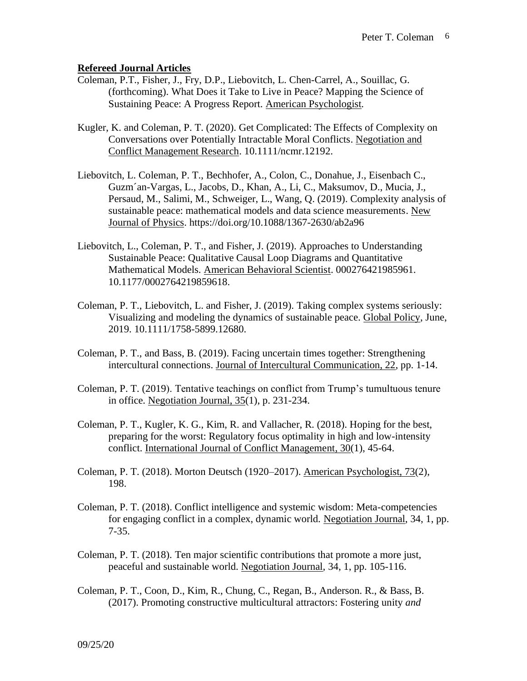#### **Refereed Journal Articles**

- Coleman, P.T., Fisher, J., Fry, D.P., Liebovitch, L. Chen-Carrel, A., Souillac, G. (forthcoming). What Does it Take to Live in Peace? Mapping the Science of Sustaining Peace: A Progress Report. American Psychologist*.*
- Kugler, K. and Coleman, P. T. (2020). Get Complicated: The Effects of Complexity on Conversations over Potentially Intractable Moral Conflicts. Negotiation and Conflict Management Research. 10.1111/ncmr.12192.
- Liebovitch, L. Coleman, P. T., Bechhofer, A., Colon, C., Donahue, J., Eisenbach C., Guzm´an-Vargas, L., Jacobs, D., Khan, A., Li, C., Maksumov, D., Mucia, J., Persaud, M., Salimi, M., Schweiger, L., Wang, Q. (2019). Complexity analysis of sustainable peace: mathematical models and data science measurements. New Journal of Physics. https://doi.org/10.1088/1367-2630/ab2a96
- Liebovitch, L., Coleman, P. T., and Fisher, J. (2019). Approaches to Understanding Sustainable Peace: Qualitative Causal Loop Diagrams and Quantitative Mathematical Models. American Behavioral Scientist. 000276421985961. 10.1177/0002764219859618.
- Coleman, P. T., Liebovitch, L. and Fisher, J. (2019). Taking complex systems seriously: Visualizing and modeling the dynamics of sustainable peace. Global Policy, June, 2019. 10.1111/1758-5899.12680.
- Coleman, P. T., and Bass, B. (2019). Facing uncertain times together: Strengthening intercultural connections. Journal of Intercultural Communication, 22, pp. 1-14.
- Coleman, P. T. (2019). Tentative teachings on conflict from Trump's tumultuous tenure in office. Negotiation Journal,  $35(1)$ , p. 231-234.
- Coleman, P. T., Kugler, K. G., Kim, R. and Vallacher, R. (2018). Hoping for the best, preparing for the worst: Regulatory focus optimality in high and low-intensity conflict. International Journal of Conflict Management, 30(1), 45-64.
- Coleman, P. T. (2018). Morton Deutsch (1920–2017). American Psychologist, 73(2), 198.
- Coleman, P. T. (2018). Conflict intelligence and systemic wisdom: Meta-competencies for engaging conflict in a complex, dynamic world. Negotiation Journal, 34, 1, pp. 7-35.
- Coleman, P. T. (2018). Ten major scientific contributions that promote a more just, peaceful and sustainable world. Negotiation Journal, 34, 1, pp. 105-116.
- Coleman, P. T., Coon, D., Kim, R., Chung, C., Regan, B., Anderson. R., & Bass, B. (2017). Promoting constructive multicultural attractors: Fostering unity *and*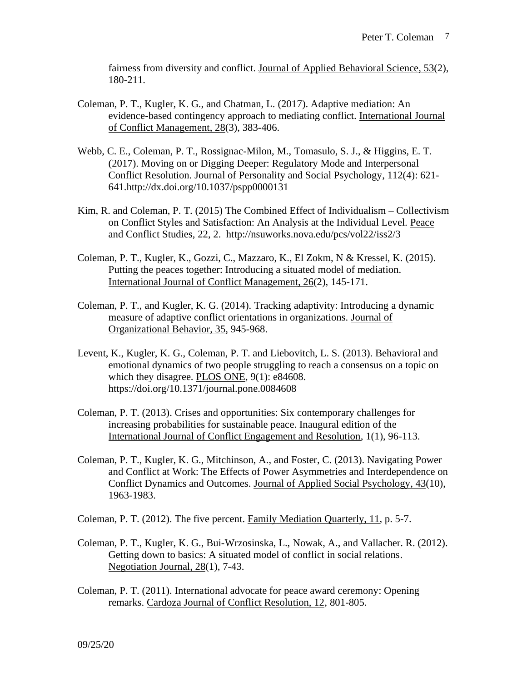fairness from diversity and conflict. Journal of Applied Behavioral Science, 53(2), 180-211.

- Coleman, P. T., Kugler, K. G., and Chatman, L. (2017). Adaptive mediation: An evidence-based contingency approach to mediating conflict. International Journal of Conflict Management, 28(3), 383-406.
- Webb, C. E., Coleman, P. T., Rossignac-Milon, M., Tomasulo, S. J., & Higgins, E. T. (2017). Moving on or Digging Deeper: Regulatory Mode and Interpersonal Conflict Resolution. Journal of Personality and Social Psychology, 112(4): 621- 641.http://dx.doi.org/10.1037/pspp0000131
- Kim, R. and Coleman, P. T. (2015) The Combined Effect of Individualism Collectivism on Conflict Styles and Satisfaction: An Analysis at the Individual Level. Peace and Conflict Studies, 22, 2. http://nsuworks.nova.edu/pcs/vol22/iss2/3
- Coleman, P. T., Kugler, K., Gozzi, C., Mazzaro, K., El Zokm, N & Kressel, K. (2015). Putting the peaces together: Introducing a situated model of mediation. International Journal of Conflict Management, 26(2), 145-171.
- Coleman, P. T., and Kugler, K. G. (2014). Tracking adaptivity: Introducing a dynamic measure of adaptive conflict orientations in organizations. Journal of Organizational Behavior, 35, 945-968.
- Levent, K., Kugler, K. G., Coleman, P. T. and Liebovitch, L. S. (2013). Behavioral and emotional dynamics of two people struggling to reach a consensus on a topic on which they disagree. PLOS ONE, 9(1): e84608. https://doi.org/10.1371/journal.pone.0084608
- Coleman, P. T. (2013). Crises and opportunities: Six contemporary challenges for increasing probabilities for sustainable peace. Inaugural edition of the International Journal of Conflict Engagement and Resolution, 1(1), 96-113.
- Coleman, P. T., Kugler, K. G., Mitchinson, A., and Foster, C. (2013). Navigating Power and Conflict at Work: The Effects of Power Asymmetries and Interdependence on Conflict Dynamics and Outcomes. Journal of Applied Social Psychology, 43(10), 1963-1983.
- Coleman, P. T. (2012). The five percent. Family Mediation Quarterly, 11, p. 5-7.
- Coleman, P. T., Kugler, K. G., Bui-Wrzosinska, L., Nowak, A., and Vallacher. R. (2012). Getting down to basics: A situated model of conflict in social relations. Negotiation Journal, 28(1), 7-43.
- Coleman, P. T. (2011). International advocate for peace award ceremony: Opening remarks. Cardoza Journal of Conflict Resolution, 12, 801-805.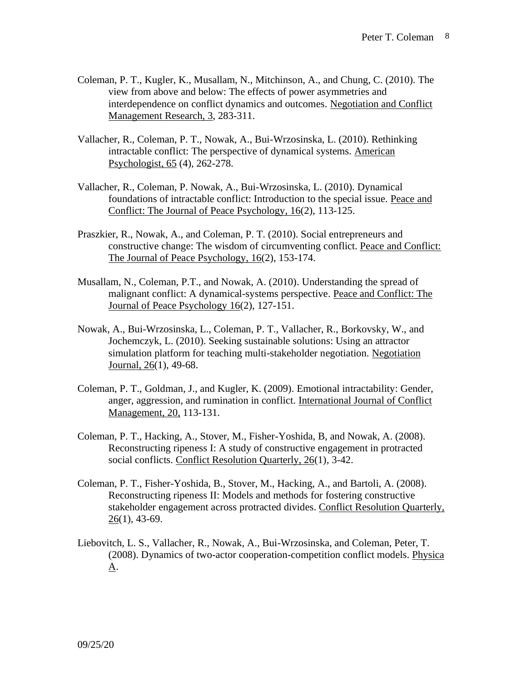- Coleman, P. T., Kugler, K., Musallam, N., Mitchinson, A., and Chung, C. (2010). The view from above and below: The effects of power asymmetries and interdependence on conflict dynamics and outcomes. Negotiation and Conflict Management Research, 3, 283-311.
- Vallacher, R., Coleman, P. T., Nowak, A., Bui-Wrzosinska, L. (2010). Rethinking intractable conflict: The perspective of dynamical systems. American Psychologist, 65 (4), 262-278.
- Vallacher, R., Coleman, P. Nowak, A., Bui-Wrzosinska, L. (2010). Dynamical foundations of intractable conflict: Introduction to the special issue. Peace and Conflict: The Journal of Peace Psychology, 16(2), 113-125.
- Praszkier, R., Nowak, A., and Coleman, P. T. (2010). Social entrepreneurs and constructive change: The wisdom of circumventing conflict. Peace and Conflict: The Journal of Peace Psychology, 16(2), 153-174.
- Musallam, N., Coleman, P.T., and Nowak, A. (2010). Understanding the spread of malignant conflict: A dynamical-systems perspective. Peace and Conflict: The Journal of Peace Psychology 16(2), 127-151.
- Nowak, A., Bui-Wrzosinska, L., Coleman, P. T., Vallacher, R., Borkovsky, W., and Jochemczyk, L. (2010). Seeking sustainable solutions: Using an attractor simulation platform for teaching multi-stakeholder negotiation. Negotiation Journal, 26(1), 49-68.
- Coleman, P. T., Goldman, J., and Kugler, K. (2009). Emotional intractability: Gender, anger, aggression, and rumination in conflict. International Journal of Conflict Management, 20, 113-131.
- Coleman, P. T., Hacking, A., Stover, M., Fisher-Yoshida, B, and Nowak, A. (2008). Reconstructing ripeness I: A study of constructive engagement in protracted social conflicts. Conflict Resolution Quarterly, 26(1), 3-42.
- Coleman, P. T., Fisher-Yoshida, B., Stover, M., Hacking, A., and Bartoli, A. (2008). Reconstructing ripeness II: Models and methods for fostering constructive stakeholder engagement across protracted divides. Conflict Resolution Quarterly, 26(1), 43-69.
- Liebovitch, L. S., Vallacher, R., Nowak, A., Bui-Wrzosinska, and Coleman, Peter, T. (2008). Dynamics of two-actor cooperation-competition conflict models. Physica A.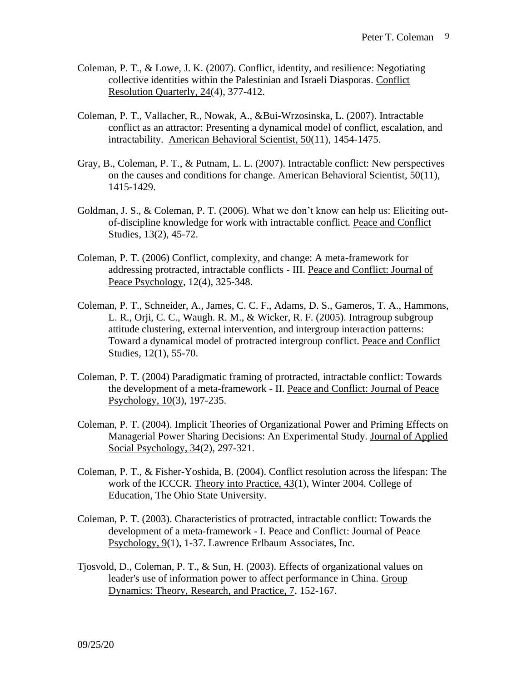- Coleman, P. T., & Lowe, J. K. (2007). Conflict, identity, and resilience: Negotiating collective identities within the Palestinian and Israeli Diasporas. Conflict Resolution Quarterly, 24(4), 377-412.
- Coleman, P. T., Vallacher, R., Nowak, A., &Bui-Wrzosinska, L. (2007). Intractable conflict as an attractor: Presenting a dynamical model of conflict, escalation, and intractability. American Behavioral Scientist, 50(11), 1454-1475.
- Gray, B., Coleman, P. T., & Putnam, L. L. (2007). Intractable conflict: New perspectives on the causes and conditions for change. American Behavioral Scientist, 50(11), 1415-1429.
- Goldman, J. S., & Coleman, P. T. (2006). What we don't know can help us: Eliciting outof-discipline knowledge for work with intractable conflict. Peace and Conflict Studies, 13(2), 45-72.
- Coleman, P. T. (2006) Conflict, complexity, and change: A meta-framework for addressing protracted, intractable conflicts - III. Peace and Conflict: Journal of Peace Psychology, 12(4), 325-348.
- Coleman, P. T., Schneider, A., James, C. C. F., Adams, D. S., Gameros, T. A., Hammons, L. R., Orji, C. C., Waugh. R. M., & Wicker, R. F. (2005). Intragroup subgroup attitude clustering, external intervention, and intergroup interaction patterns: Toward a dynamical model of protracted intergroup conflict. Peace and Conflict Studies, 12(1), 55-70.
- Coleman, P. T. (2004) Paradigmatic framing of protracted, intractable conflict: Towards the development of a meta-framework - II. Peace and Conflict: Journal of Peace Psychology, 10(3), 197-235.
- Coleman, P. T. (2004). Implicit Theories of Organizational Power and Priming Effects on Managerial Power Sharing Decisions: An Experimental Study. Journal of Applied Social Psychology, 34(2), 297-321.
- Coleman, P. T., & Fisher-Yoshida, B. (2004). Conflict resolution across the lifespan: The work of the ICCCR. Theory into Practice, 43(1), Winter 2004. College of Education, The Ohio State University.
- Coleman, P. T. (2003). Characteristics of protracted, intractable conflict: Towards the development of a meta-framework - I. Peace and Conflict: Journal of Peace Psychology, 9(1), 1-37. Lawrence Erlbaum Associates, Inc.
- Tjosvold, D., Coleman, P. T., & Sun, H. (2003). Effects of organizational values on leader's use of information power to affect performance in China. Group Dynamics: Theory, Research, and Practice, 7, 152-167.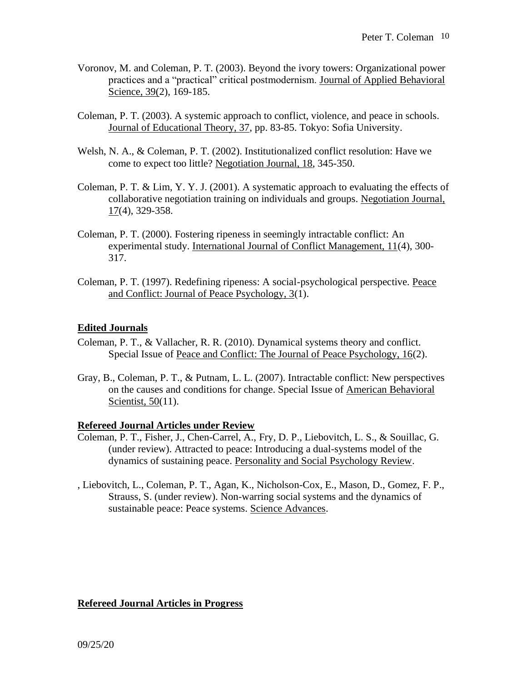- Voronov, M. and Coleman, P. T. (2003). Beyond the ivory towers: Organizational power practices and a "practical" critical postmodernism. Journal of Applied Behavioral Science, 39(2), 169-185.
- Coleman, P. T. (2003). A systemic approach to conflict, violence, and peace in schools. Journal of Educational Theory, 37, pp. 83-85. Tokyo: Sofia University.
- Welsh, N. A., & Coleman, P. T. (2002). Institutionalized conflict resolution: Have we come to expect too little? Negotiation Journal, 18, 345-350.
- Coleman, P. T. & Lim, Y. Y. J. (2001). A systematic approach to evaluating the effects of collaborative negotiation training on individuals and groups. Negotiation Journal, 17(4), 329-358.
- Coleman, P. T. (2000). Fostering ripeness in seemingly intractable conflict: An experimental study. International Journal of Conflict Management, 11(4), 300- 317.
- Coleman, P. T. (1997). Redefining ripeness: A social-psychological perspective. Peace and Conflict: Journal of Peace Psychology, 3(1).

#### **Edited Journals**

- Coleman, P. T., & Vallacher, R. R. (2010). Dynamical systems theory and conflict. Special Issue of Peace and Conflict: The Journal of Peace Psychology, 16(2).
- Gray, B., Coleman, P. T., & Putnam, L. L. (2007). Intractable conflict: New perspectives on the causes and conditions for change. Special Issue of American Behavioral Scientist, 50(11).

#### **Refereed Journal Articles under Review**

- Coleman, P. T., Fisher, J., Chen-Carrel, A., Fry, D. P., Liebovitch, L. S., & Souillac, G. (under review). Attracted to peace: Introducing a dual-systems model of the dynamics of sustaining peace. Personality and Social Psychology Review.
- , Liebovitch, L., Coleman, P. T., Agan, K., Nicholson-Cox, E., Mason, D., Gomez, F. P., Strauss, S. (under review). Non-warring social systems and the dynamics of sustainable peace: Peace systems. Science Advances.

#### **Refereed Journal Articles in Progress**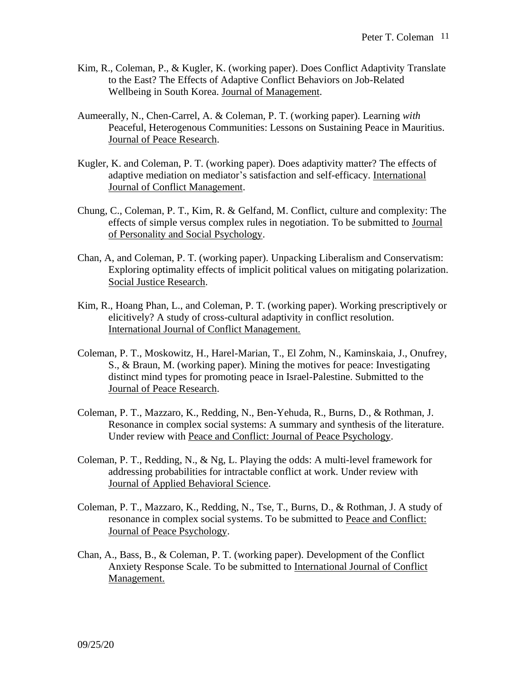- Kim, R., Coleman, P., & Kugler, K. (working paper). Does Conflict Adaptivity Translate to the East? The Effects of Adaptive Conflict Behaviors on Job-Related Wellbeing in South Korea. Journal of Management.
- Aumeerally, N., Chen-Carrel, A. & Coleman, P. T. (working paper). Learning *with* Peaceful, Heterogenous Communities: Lessons on Sustaining Peace in Mauritius. Journal of Peace Research.
- Kugler, K. and Coleman, P. T. (working paper). Does adaptivity matter? The effects of adaptive mediation on mediator's satisfaction and self-efficacy. International Journal of Conflict Management.
- Chung, C., Coleman, P. T., Kim, R. & Gelfand, M. Conflict, culture and complexity: The effects of simple versus complex rules in negotiation. To be submitted to Journal of Personality and Social Psychology.
- Chan, A, and Coleman, P. T. (working paper). Unpacking Liberalism and Conservatism: Exploring optimality effects of implicit political values on mitigating polarization. Social Justice Research.
- Kim, R., Hoang Phan, L., and Coleman, P. T. (working paper). Working prescriptively or elicitively? A study of cross-cultural adaptivity in conflict resolution. International Journal of Conflict Management.
- Coleman, P. T., Moskowitz, H., Harel-Marian, T., El Zohm, N., Kaminskaia, J., Onufrey, S., & Braun, M. (working paper). Mining the motives for peace: Investigating distinct mind types for promoting peace in Israel-Palestine. Submitted to the Journal of Peace Research.
- Coleman, P. T., Mazzaro, K., Redding, N., Ben-Yehuda, R., Burns, D., & Rothman, J. Resonance in complex social systems: A summary and synthesis of the literature. Under review with Peace and Conflict: Journal of Peace Psychology.
- Coleman, P. T., Redding, N., & Ng, L. Playing the odds: A multi-level framework for addressing probabilities for intractable conflict at work. Under review with Journal of Applied Behavioral Science.
- Coleman, P. T., Mazzaro, K., Redding, N., Tse, T., Burns, D., & Rothman, J. A study of resonance in complex social systems. To be submitted to Peace and Conflict: Journal of Peace Psychology.
- Chan, A., Bass, B., & Coleman, P. T. (working paper). Development of the Conflict Anxiety Response Scale. To be submitted to International Journal of Conflict Management.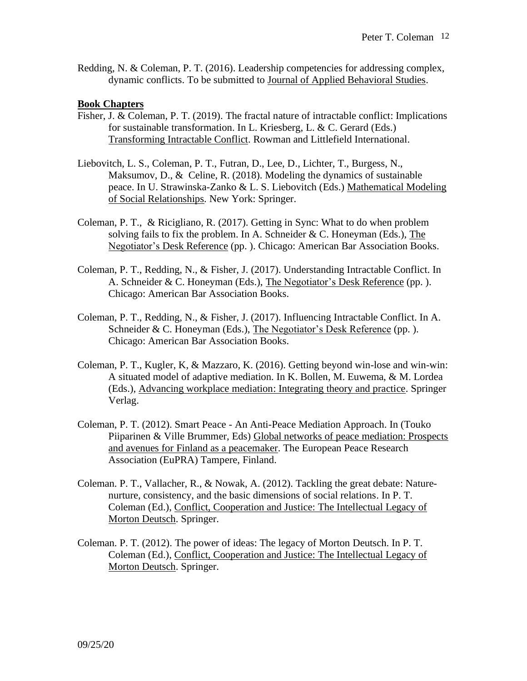Redding, N. & Coleman, P. T. (2016). Leadership competencies for addressing complex, dynamic conflicts. To be submitted to Journal of Applied Behavioral Studies.

#### **Book Chapters**

- Fisher, J. & Coleman, P. T. (2019). The fractal nature of intractable conflict: Implications for sustainable transformation. In L. Kriesberg, L. & C. Gerard (Eds.) Transforming Intractable Conflict. Rowman and Littlefield International.
- Liebovitch, L. S., Coleman, P. T., Futran, D., Lee, D., Lichter, T., Burgess, N., Maksumov, D., & Celine, R. (2018). Modeling the dynamics of sustainable peace. In U. Strawinska-Zanko & L. S. Liebovitch (Eds.) Mathematical Modeling of Social Relationships*.* New York: Springer.
- Coleman, P. T., & Ricigliano, R. (2017). Getting in Sync: What to do when problem solving fails to fix the problem. In A. Schneider  $&C$ . Honeyman (Eds.), The Negotiator's Desk Reference (pp. ). Chicago: American Bar Association Books.
- Coleman, P. T., Redding, N., & Fisher, J. (2017). Understanding Intractable Conflict. In A. Schneider & C. Honeyman (Eds.), The Negotiator's Desk Reference (pp. ). Chicago: American Bar Association Books.
- Coleman, P. T., Redding, N., & Fisher, J. (2017). Influencing Intractable Conflict. In A. Schneider & C. Honeyman (Eds.), The Negotiator's Desk Reference (pp.). Chicago: American Bar Association Books.
- Coleman, P. T., Kugler, K, & Mazzaro, K. (2016). Getting beyond win-lose and win-win: A situated model of adaptive mediation. In K. Bollen, M. Euwema, & M. Lordea (Eds.), Advancing workplace mediation: Integrating theory and practice. Springer Verlag.
- Coleman, P. T. (2012). Smart Peace An Anti-Peace Mediation Approach. In (Touko Piiparinen & Ville Brummer, Eds) Global networks of peace mediation: Prospects and avenues for Finland as a peacemaker. The European Peace Research Association (EuPRA) Tampere, Finland.
- Coleman. P. T., Vallacher, R., & Nowak, A. (2012). Tackling the great debate: Naturenurture, consistency, and the basic dimensions of social relations. In P. T. Coleman (Ed.), Conflict, Cooperation and Justice: The Intellectual Legacy of Morton Deutsch. Springer.
- Coleman. P. T. (2012). The power of ideas: The legacy of Morton Deutsch. In P. T. Coleman (Ed.), Conflict, Cooperation and Justice: The Intellectual Legacy of Morton Deutsch. Springer.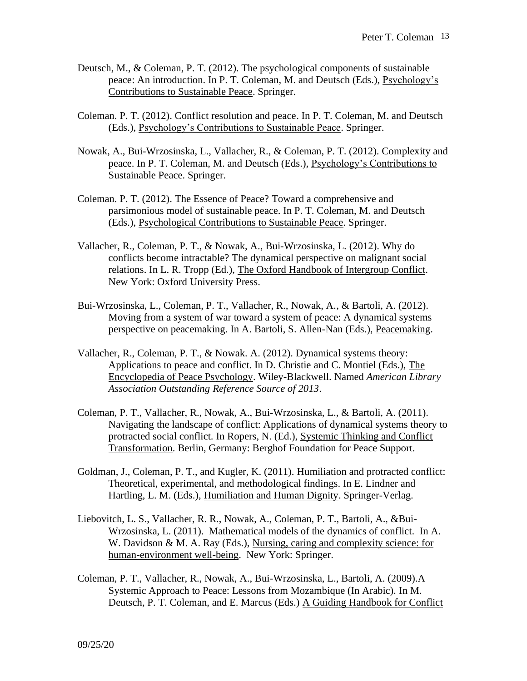- Deutsch, M., & Coleman, P. T. (2012). The psychological components of sustainable peace: An introduction. In P. T. Coleman, M. and Deutsch (Eds.), Psychology's Contributions to Sustainable Peace. Springer.
- Coleman. P. T. (2012). Conflict resolution and peace. In P. T. Coleman, M. and Deutsch (Eds.), Psychology's Contributions to Sustainable Peace. Springer.
- Nowak, A., Bui-Wrzosinska, L., Vallacher, R., & Coleman, P. T. (2012). Complexity and peace. In P. T. Coleman, M. and Deutsch (Eds.), Psychology's Contributions to Sustainable Peace. Springer.
- Coleman. P. T. (2012). The Essence of Peace? Toward a comprehensive and parsimonious model of sustainable peace. In P. T. Coleman, M. and Deutsch (Eds.), Psychological Contributions to Sustainable Peace. Springer.
- Vallacher, R., Coleman, P. T., & Nowak, A., Bui-Wrzosinska, L. (2012). Why do conflicts become intractable? The dynamical perspective on malignant social relations. In L. R. Tropp (Ed.), The Oxford Handbook of Intergroup Conflict. New York: Oxford University Press.
- Bui-Wrzosinska, L., Coleman, P. T., Vallacher, R., Nowak, A., & Bartoli, A. (2012). Moving from a system of war toward a system of peace: A dynamical systems perspective on peacemaking. In A. Bartoli, S. Allen-Nan (Eds.), Peacemaking.
- Vallacher, R., Coleman, P. T., & Nowak. A. (2012). Dynamical systems theory: Applications to peace and conflict. In D. Christie and C. Montiel (Eds.), The Encyclopedia of Peace Psychology. Wiley-Blackwell. Named *American Library Association Outstanding Reference Source of 2013*.
- Coleman, P. T., Vallacher, R., Nowak, A., Bui-Wrzosinska, L., & Bartoli, A. (2011). Navigating the landscape of conflict: Applications of dynamical systems theory to protracted social conflict. In Ropers, N. (Ed.), Systemic Thinking and Conflict Transformation. Berlin, Germany: Berghof Foundation for Peace Support.
- Goldman, J., Coleman, P. T., and Kugler, K. (2011). Humiliation and protracted conflict: Theoretical, experimental, and methodological findings. In E. Lindner and Hartling, L. M. (Eds.), Humiliation and Human Dignity. Springer-Verlag.
- Liebovitch, L. S., Vallacher, R. R., Nowak, A., Coleman, P. T., Bartoli, A., &Bui-Wrzosinska, L. (2011). Mathematical models of the dynamics of conflict. In A. W. Davidson & M. A. Ray (Eds.), Nursing, caring and complexity science: for human-environment well-being. New York: Springer.
- Coleman, P. T., Vallacher, R., Nowak, A., Bui-Wrzosinska, L., Bartoli, A. (2009).A Systemic Approach to Peace: Lessons from Mozambique (In Arabic). In M. Deutsch, P. T. Coleman, and E. Marcus (Eds.) A Guiding Handbook for Conflict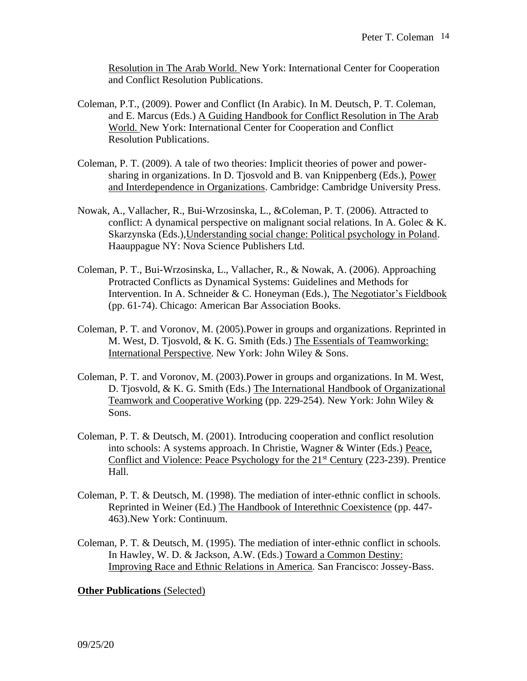Resolution in The Arab World. New York: International Center for Cooperation and Conflict Resolution Publications.

- Coleman, P.T., (2009). Power and Conflict (In Arabic). In M. Deutsch, P. T. Coleman, and E. Marcus (Eds.) A Guiding Handbook for Conflict Resolution in The Arab World. New York: International Center for Cooperation and Conflict Resolution Publications.
- Coleman, P. T. (2009). A tale of two theories: Implicit theories of power and powersharing in organizations. In D. Tjosvold and B. van Knippenberg (Eds.), Power and Interdependence in Organizations. Cambridge: Cambridge University Press.
- Nowak, A., Vallacher, R., Bui-Wrzosinska, L., &Coleman, P. T. (2006). Attracted to conflict: A dynamical perspective on malignant social relations. In A. Golec  $& K$ . Skarzynska (Eds.),Understanding social change: Political psychology in Poland. Haauppague NY: Nova Science Publishers Ltd.
- Coleman, P. T., Bui-Wrzosinska, L., Vallacher, R., & Nowak, A. (2006). Approaching Protracted Conflicts as Dynamical Systems: Guidelines and Methods for Intervention. In A. Schneider & C. Honeyman (Eds.), The Negotiator's Fieldbook (pp. 61-74). Chicago: American Bar Association Books.
- Coleman, P. T. and Voronov, M. (2005).Power in groups and organizations. Reprinted in M. West, D. Tjosvold, & K. G. Smith (Eds.) The Essentials of Teamworking: International Perspective. New York: John Wiley & Sons.
- Coleman, P. T. and Voronov, M. (2003).Power in groups and organizations. In M. West, D. Tjosvold, & K. G. Smith (Eds.) The International Handbook of Organizational Teamwork and Cooperative Working (pp. 229-254). New York: John Wiley & Sons.
- Coleman, P. T. & Deutsch, M. (2001). Introducing cooperation and conflict resolution into schools: A systems approach. In Christie, Wagner & Winter (Eds.) Peace, Conflict and Violence: Peace Psychology for the 21<sup>st</sup> Century (223-239). Prentice Hall.
- Coleman, P. T. & Deutsch, M. (1998). The mediation of inter-ethnic conflict in schools*.* Reprinted in Weiner (Ed.) The Handbook of Interethnic Coexistence (pp. 447- 463).New York: Continuum.
- Coleman, P. T. & Deutsch, M. (1995). The mediation of inter-ethnic conflict in schools*.* In Hawley, W. D. & Jackson, A.W. (Eds.) Toward a Common Destiny: Improving Race and Ethnic Relations in America*.* San Francisco: Jossey-Bass.

#### **Other Publications** (Selected)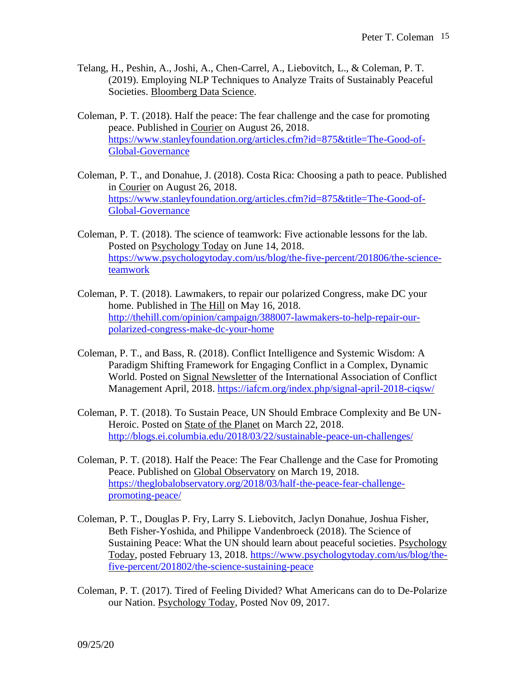- Telang, H., Peshin, A., Joshi, A., Chen-Carrel, A., Liebovitch, L., & Coleman, P. T. (2019). Employing NLP Techniques to Analyze Traits of Sustainably Peaceful Societies. Bloomberg Data Science.
- Coleman, P. T. (2018). Half the peace: The fear challenge and the case for promoting peace. Published in Courier on August 26, 2018. [https://www.stanleyfoundation.org/articles.cfm?id=875&title=The-Good-of-](https://www.stanleyfoundation.org/articles.cfm?id=875&title=The-Good-of-Global-Governance)[Global-Governance](https://www.stanleyfoundation.org/articles.cfm?id=875&title=The-Good-of-Global-Governance)
- Coleman, P. T., and Donahue, J. (2018). Costa Rica: Choosing a path to peace. Published in Courier on August 26, 2018. [https://www.stanleyfoundation.org/articles.cfm?id=875&title=The-Good-of-](https://www.stanleyfoundation.org/articles.cfm?id=875&title=The-Good-of-Global-Governance)[Global-Governance](https://www.stanleyfoundation.org/articles.cfm?id=875&title=The-Good-of-Global-Governance)
- Coleman, P. T. (2018). The science of teamwork: Five actionable lessons for the lab. Posted on Psychology Today on June 14, 2018. [https://www.psychologytoday.com/us/blog/the-five-percent/201806/the-science](https://www.psychologytoday.com/us/blog/the-five-percent/201806/the-science-teamwork)[teamwork](https://www.psychologytoday.com/us/blog/the-five-percent/201806/the-science-teamwork)
- Coleman, P. T. (2018). Lawmakers, to repair our polarized Congress, make DC your home. Published in The Hill on May 16, 2018. [http://thehill.com/opinion/campaign/388007-lawmakers-to-help-repair-our](http://thehill.com/opinion/campaign/388007-lawmakers-to-help-repair-our-polarized-congress-make-dc-your-home)[polarized-congress-make-dc-your-home](http://thehill.com/opinion/campaign/388007-lawmakers-to-help-repair-our-polarized-congress-make-dc-your-home)
- Coleman, P. T., and Bass, R. (2018). Conflict Intelligence and Systemic Wisdom: A Paradigm Shifting Framework for Engaging Conflict in a Complex, Dynamic World. Posted on Signal Newsletter of the International Association of Conflict Management April, 2018.<https://iafcm.org/index.php/signal-april-2018-ciqsw/>
- Coleman, P. T. (2018). To Sustain Peace, UN Should Embrace Complexity and Be UN-Heroic. Posted on State of the Planet on March 22, 2018. <http://blogs.ei.columbia.edu/2018/03/22/sustainable-peace-un-challenges/>
- Coleman, P. T. (2018). Half the Peace: The Fear Challenge and the Case for Promoting Peace. Published on Global Observatory on March 19, 2018. [https://theglobalobservatory.org/2018/03/half-the-peace-fear-challenge](https://theglobalobservatory.org/2018/03/half-the-peace-fear-challenge-promoting-peace/)[promoting-peace/](https://theglobalobservatory.org/2018/03/half-the-peace-fear-challenge-promoting-peace/)
- Coleman, P. T., Douglas P. Fry, Larry S. Liebovitch, Jaclyn Donahue, Joshua Fisher, Beth Fisher-Yoshida, and Philippe Vandenbroeck (2018). The Science of Sustaining Peace: What the UN should learn about peaceful societies. Psychology Today, posted February 13, 2018. [https://www.psychologytoday.com/us/blog/the](https://www.psychologytoday.com/us/blog/the-five-percent/201802/the-science-sustaining-peace)[five-percent/201802/the-science-sustaining-peace](https://www.psychologytoday.com/us/blog/the-five-percent/201802/the-science-sustaining-peace)
- Coleman, P. T. (2017). Tired of Feeling Divided? What Americans can do to De-Polarize our Nation. Psychology Today, Posted Nov 09, 2017.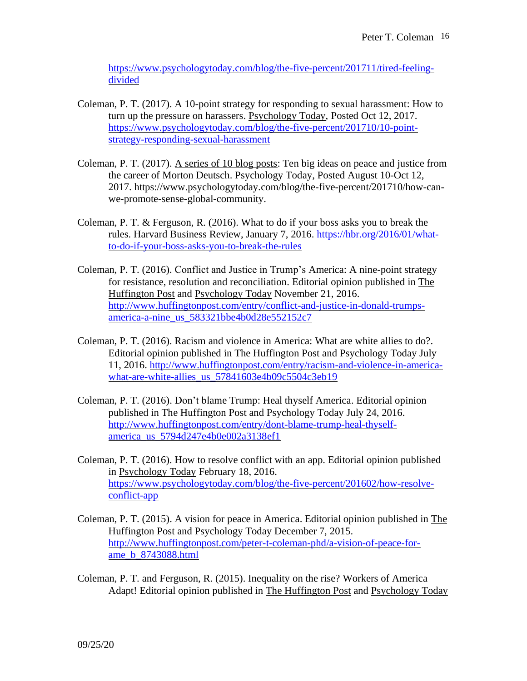[https://www.psychologytoday.com/blog/the-five-percent/201711/tired-feeling](https://www.psychologytoday.com/blog/the-five-percent/201711/tired-feeling-divided)[divided](https://www.psychologytoday.com/blog/the-five-percent/201711/tired-feeling-divided)

- Coleman, P. T. (2017). A 10-point strategy for responding to sexual harassment: How to turn up the pressure on harassers. Psychology Today, Posted Oct 12, 2017. [https://www.psychologytoday.com/blog/the-five-percent/201710/10-point](https://www.psychologytoday.com/blog/the-five-percent/201710/10-point-strategy-responding-sexual-harassment)[strategy-responding-sexual-harassment](https://www.psychologytoday.com/blog/the-five-percent/201710/10-point-strategy-responding-sexual-harassment)
- Coleman, P. T. (2017). A series of 10 blog posts: Ten big ideas on peace and justice from the career of Morton Deutsch. Psychology Today, Posted August 10-Oct 12, 2017. https://www.psychologytoday.com/blog/the-five-percent/201710/how-canwe-promote-sense-global-community.
- Coleman, P. T. & Ferguson, R. (2016). What to do if your boss asks you to break the rules. Harvard Business Review, January 7, 2016. [https://hbr.org/2016/01/what](https://hbr.org/2016/01/what-to-do-if-your-boss-asks-you-to-break-the-rules)[to-do-if-your-boss-asks-you-to-break-the-rules](https://hbr.org/2016/01/what-to-do-if-your-boss-asks-you-to-break-the-rules)
- Coleman, P. T. (2016). Conflict and Justice in Trump's America: A nine-point strategy for resistance, resolution and reconciliation. Editorial opinion published in The Huffington Post and Psychology Today November 21, 2016. [http://www.huffingtonpost.com/entry/conflict-and-justice-in-donald-trumps](http://www.huffingtonpost.com/entry/conflict-and-justice-in-donald-trumps-america-a-nine_us_583321bbe4b0d28e552152c7)[america-a-nine\\_us\\_583321bbe4b0d28e552152c7](http://www.huffingtonpost.com/entry/conflict-and-justice-in-donald-trumps-america-a-nine_us_583321bbe4b0d28e552152c7)
- Coleman, P. T. (2016). Racism and violence in America: What are white allies to do?. Editorial opinion published in The Huffington Post and Psychology Today July 11, 2016. [http://www.huffingtonpost.com/entry/racism-and-violence-in-america](http://www.huffingtonpost.com/entry/racism-and-violence-in-america-what-are-white-allies_us_57841603e4b09c5504c3eb19)[what-are-white-allies\\_us\\_57841603e4b09c5504c3eb19](http://www.huffingtonpost.com/entry/racism-and-violence-in-america-what-are-white-allies_us_57841603e4b09c5504c3eb19)
- Coleman, P. T. (2016). Don't blame Trump: Heal thyself America. Editorial opinion published in The Huffington Post and Psychology Today July 24, 2016. [http://www.huffingtonpost.com/entry/dont-blame-trump-heal-thyself](http://www.huffingtonpost.com/entry/dont-blame-trump-heal-thyself-america_us_5794d247e4b0e002a3138ef1)[america\\_us\\_5794d247e4b0e002a3138ef1](http://www.huffingtonpost.com/entry/dont-blame-trump-heal-thyself-america_us_5794d247e4b0e002a3138ef1)
- Coleman, P. T. (2016). How to resolve conflict with an app. Editorial opinion published in Psychology Today February 18, 2016. [https://www.psychologytoday.com/blog/the-five-percent/201602/how-resolve](https://www.psychologytoday.com/blog/the-five-percent/201602/how-resolve-conflict-app)[conflict-app](https://www.psychologytoday.com/blog/the-five-percent/201602/how-resolve-conflict-app)
- Coleman, P. T. (2015). A vision for peace in America. Editorial opinion published in The Huffington Post and Psychology Today December 7, 2015. [http://www.huffingtonpost.com/peter-t-coleman-phd/a-vision-of-peace-for](http://www.huffingtonpost.com/peter-t-coleman-phd/a-vision-of-peace-for-ame_b_8743088.html)[ame\\_b\\_8743088.html](http://www.huffingtonpost.com/peter-t-coleman-phd/a-vision-of-peace-for-ame_b_8743088.html)
- Coleman, P. T. and Ferguson, R. (2015). Inequality on the rise? Workers of America Adapt! Editorial opinion published in The Huffington Post and Psychology Today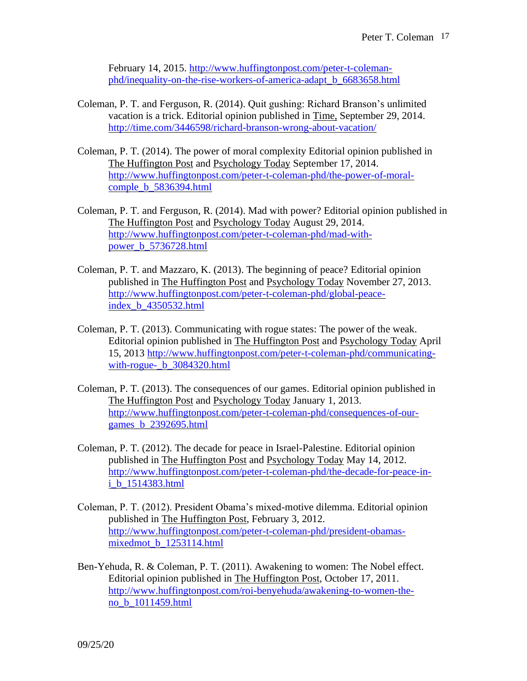February 14, 2015. [http://www.huffingtonpost.com/peter-t-coleman](http://www.huffingtonpost.com/peter-t-coleman-phd/inequality-on-the-rise-workers-of-america-adapt_b_6683658.html)[phd/inequality-on-the-rise-workers-of-america-adapt\\_b\\_6683658.html](http://www.huffingtonpost.com/peter-t-coleman-phd/inequality-on-the-rise-workers-of-america-adapt_b_6683658.html)

- Coleman, P. T. and Ferguson, R. (2014). Quit gushing: Richard Branson's unlimited vacation is a trick. Editorial opinion published in Time, September 29, 2014. <http://time.com/3446598/richard-branson-wrong-about-vacation/>
- Coleman, P. T. (2014). The power of moral complexity Editorial opinion published in The Huffington Post and Psychology Today September 17, 2014. [http://www.huffingtonpost.com/peter-t-coleman-phd/the-power-of-moral](http://www.huffingtonpost.com/peter-t-coleman-phd/the-power-of-moral-comple_b_5836394.html)comple **b** 5836394.html
- Coleman, P. T. and Ferguson, R. (2014). Mad with power? Editorial opinion published in The Huffington Post and Psychology Today August 29, 2014. [http://www.huffingtonpost.com/peter-t-coleman-phd/mad-with](http://www.huffingtonpost.com/peter-t-coleman-phd/mad-with-power_b_5736728.html)[power\\_b\\_5736728.html](http://www.huffingtonpost.com/peter-t-coleman-phd/mad-with-power_b_5736728.html)
- Coleman, P. T. and Mazzaro, K. (2013). The beginning of peace? Editorial opinion published in The Huffington Post and Psychology Today November 27, 2013. [http://www.huffingtonpost.com/peter-t-coleman-phd/global-peace](http://www.huffingtonpost.com/peter-t-coleman-phd/global-peace-index_b_4350532.html)[index\\_b\\_4350532.html](http://www.huffingtonpost.com/peter-t-coleman-phd/global-peace-index_b_4350532.html)
- Coleman, P. T. (2013). Communicating with rogue states: The power of the weak. Editorial opinion published in The Huffington Post and Psychology Today April 15, 2013 [http://www.huffingtonpost.com/peter-t-coleman-phd/communicating](http://www.huffingtonpost.com/peter-t-coleman-phd/communicating-with-rogue-_b_3084320.html)with-rogue- $\bar{b}$  3084320.html
- Coleman, P. T. (2013). The consequences of our games. Editorial opinion published in The Huffington Post and Psychology Today January 1, 2013. [http://www.huffingtonpost.com/peter-t-coleman-phd/consequences-of-our](http://www.huffingtonpost.com/peter-t-coleman-phd/consequences-of-our-games_b_2392695.html)[games\\_b\\_2392695.html](http://www.huffingtonpost.com/peter-t-coleman-phd/consequences-of-our-games_b_2392695.html)
- Coleman, P. T. (2012). The decade for peace in Israel-Palestine. Editorial opinion published in The Huffington Post and Psychology Today May 14, 2012. [http://www.huffingtonpost.com/peter-t-coleman-phd/the-decade-for-peace-in](http://www.huffingtonpost.com/peter-t-coleman-phd/the-decade-for-peace-in-i_b_1514383.html)[i\\_b\\_1514383.html](http://www.huffingtonpost.com/peter-t-coleman-phd/the-decade-for-peace-in-i_b_1514383.html)
- Coleman, P. T. (2012). President Obama's mixed-motive dilemma. Editorial opinion published in The Huffington Post, February 3, 2012. [http://www.huffingtonpost.com/peter-t-coleman-phd/president-obamas](http://www.huffingtonpost.com/peter-t-coleman-phd/president-obamas-mixedmot_b_1253114.html)[mixedmot\\_b\\_1253114.html](http://www.huffingtonpost.com/peter-t-coleman-phd/president-obamas-mixedmot_b_1253114.html)
- Ben-Yehuda, R. & Coleman, P. T. (2011). Awakening to women: The Nobel effect. Editorial opinion published in The Huffington Post, October 17, 2011. [http://www.huffingtonpost.com/roi-benyehuda/awakening-to-women-the](http://www.huffingtonpost.com/roi-benyehuda/awakening-to-women-the-no_b_1011459.html)[no\\_b\\_1011459.html](http://www.huffingtonpost.com/roi-benyehuda/awakening-to-women-the-no_b_1011459.html)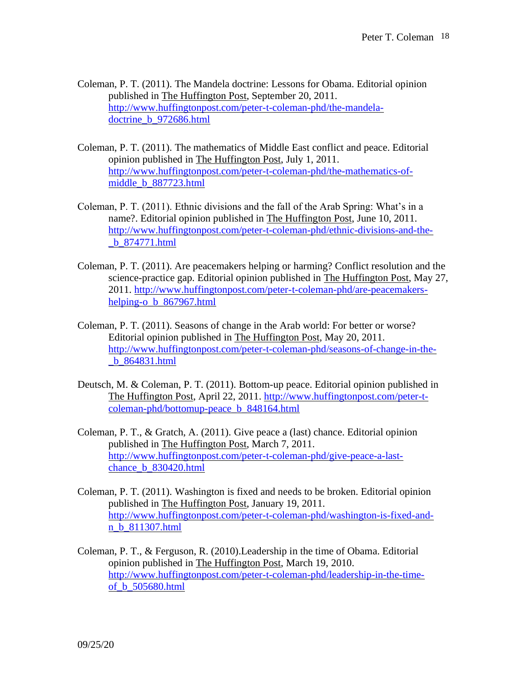- Coleman, P. T. (2011). The Mandela doctrine: Lessons for Obama. Editorial opinion published in The Huffington Post, September 20, 2011. [http://www.huffingtonpost.com/peter-t-coleman-phd/the-mandela](http://www.huffingtonpost.com/peter-t-coleman-phd/the-mandela-doctrine_b_972686.html)[doctrine\\_b\\_972686.html](http://www.huffingtonpost.com/peter-t-coleman-phd/the-mandela-doctrine_b_972686.html)
- Coleman, P. T. (2011). The mathematics of Middle East conflict and peace. Editorial opinion published in The Huffington Post, July 1, 2011. [http://www.huffingtonpost.com/peter-t-coleman-phd/the-mathematics-of](http://www.huffingtonpost.com/peter-t-coleman-phd/the-mathematics-of-middle_b_887723.html)[middle\\_b\\_887723.html](http://www.huffingtonpost.com/peter-t-coleman-phd/the-mathematics-of-middle_b_887723.html)
- Coleman, P. T. (2011). Ethnic divisions and the fall of the Arab Spring: What's in a name?. Editorial opinion published in The Huffington Post, June 10, 2011. [http://www.huffingtonpost.com/peter-t-coleman-phd/ethnic-divisions-and-the-](http://www.huffingtonpost.com/peter-t-coleman-phd/ethnic-divisions-and-the-_b_874771.html) [\\_b\\_874771.html](http://www.huffingtonpost.com/peter-t-coleman-phd/ethnic-divisions-and-the-_b_874771.html)
- Coleman, P. T. (2011). Are peacemakers helping or harming? Conflict resolution and the science-practice gap. Editorial opinion published in The Huffington Post, May 27, 2011. [http://www.huffingtonpost.com/peter-t-coleman-phd/are-peacemakers](http://www.huffingtonpost.com/peter-t-coleman-phd/are-peacemakers-helping-o_b_867967.html)[helping-o\\_b\\_867967.html](http://www.huffingtonpost.com/peter-t-coleman-phd/are-peacemakers-helping-o_b_867967.html)
- Coleman, P. T. (2011). Seasons of change in the Arab world: For better or worse? Editorial opinion published in The Huffington Post, May 20, 2011. [http://www.huffingtonpost.com/peter-t-coleman-phd/seasons-of-change-in-the-](http://www.huffingtonpost.com/peter-t-coleman-phd/seasons-of-change-in-the-_b_864831.html) [\\_b\\_864831.html](http://www.huffingtonpost.com/peter-t-coleman-phd/seasons-of-change-in-the-_b_864831.html)
- Deutsch, M. & Coleman, P. T. (2011). Bottom-up peace. Editorial opinion published in The Huffington Post, April 22, 2011. [http://www.huffingtonpost.com/peter-t](http://www.huffingtonpost.com/peter-t-coleman-phd/bottomup-peace_b_848164.html)[coleman-phd/bottomup-peace\\_b\\_848164.html](http://www.huffingtonpost.com/peter-t-coleman-phd/bottomup-peace_b_848164.html)
- Coleman, P. T., & Gratch, A. (2011). Give peace a (last) chance. Editorial opinion published in The Huffington Post, March 7, 2011. [http://www.huffingtonpost.com/peter-t-coleman-phd/give-peace-a-last](http://www.huffingtonpost.com/peter-t-coleman-phd/give-peace-a-last-chance_b_830420.html)[chance\\_b\\_830420.html](http://www.huffingtonpost.com/peter-t-coleman-phd/give-peace-a-last-chance_b_830420.html)
- Coleman, P. T. (2011). Washington is fixed and needs to be broken. Editorial opinion published in The Huffington Post, January 19, 2011. [http://www.huffingtonpost.com/peter-t-coleman-phd/washington-is-fixed-and](http://www.huffingtonpost.com/peter-t-coleman-phd/washington-is-fixed-and-n_b_811307.html)[n\\_b\\_811307.html](http://www.huffingtonpost.com/peter-t-coleman-phd/washington-is-fixed-and-n_b_811307.html)
- Coleman, P. T., & Ferguson, R. (2010).Leadership in the time of Obama. Editorial opinion published in The Huffington Post, March 19, 2010. [http://www.huffingtonpost.com/peter-t-coleman-phd/leadership-in-the-time](http://www.huffingtonpost.com/peter-t-coleman-phd/leadership-in-the-time-of_b_505680.html)[of\\_b\\_505680.html](http://www.huffingtonpost.com/peter-t-coleman-phd/leadership-in-the-time-of_b_505680.html)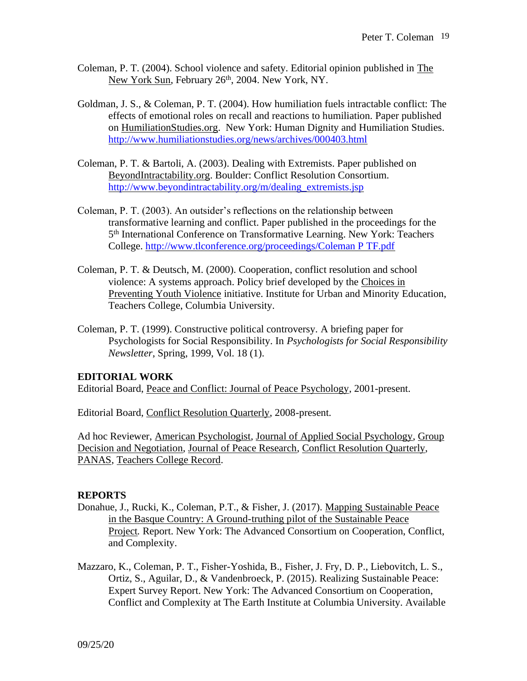- Coleman, P. T. (2004). School violence and safety. Editorial opinion published in The New York Sun, February 26<sup>th</sup>, 2004. New York, NY.
- Goldman, J. S., & Coleman, P. T. (2004). How humiliation fuels intractable conflict: The effects of emotional roles on recall and reactions to humiliation. Paper published on HumiliationStudies.org. New York: Human Dignity and Humiliation Studies. <http://www.humiliationstudies.org/news/archives/000403.html>
- Coleman, P. T. & Bartoli, A. (2003). Dealing with Extremists. Paper published on BeyondIntractability.org. Boulder: Conflict Resolution Consortium. [http://www.beyondintractability.org/m/dealing\\_extremists.jsp](http://www.beyondintractability.org/m/dealing_extremists.jsp)
- Coleman, P. T. (2003). An outsider's reflections on the relationship between transformative learning and conflict. Paper published in the proceedings for the 5 th International Conference on Transformative Learning. New York: Teachers College. [http://www.tlconference.org/proceedings/Coleman P TF.pdf](http://www.tlconference.org/proceedings/Coleman%20P%20TF.pdf)
- Coleman, P. T. & Deutsch, M. (2000). Cooperation, conflict resolution and school violence: A systems approach. Policy brief developed by the Choices in Preventing Youth Violence initiative. Institute for Urban and Minority Education, Teachers College, Columbia University.
- Coleman, P. T. (1999). Constructive political controversy. A briefing paper for Psychologists for Social Responsibility. In *Psychologists for Social Responsibility Newsletter*, Spring, 1999, Vol. 18 (1).

#### **EDITORIAL WORK**

Editorial Board, Peace and Conflict: Journal of Peace Psychology, 2001-present.

Editorial Board, Conflict Resolution Quarterly, 2008-present.

Ad hoc Reviewer, American Psychologist*,* Journal of Applied Social Psychology, Group Decision and Negotiation, Journal of Peace Research, Conflict Resolution Quarterly, PANAS, Teachers College Record.

#### **REPORTS**

- Donahue, J., Rucki, K., Coleman, P.T., & Fisher, J. (2017). Mapping Sustainable Peace in the Basque Country: A Ground-truthing pilot of the Sustainable Peace Project*.* Report. New York: The Advanced Consortium on Cooperation, Conflict, and Complexity.
- Mazzaro, K., Coleman, P. T., Fisher-Yoshida, B., Fisher, J. Fry, D. P., Liebovitch, L. S., Ortiz, S., Aguilar, D., & Vandenbroeck, P. (2015). Realizing Sustainable Peace: Expert Survey Report. New York: The Advanced Consortium on Cooperation, Conflict and Complexity at The Earth Institute at Columbia University. Available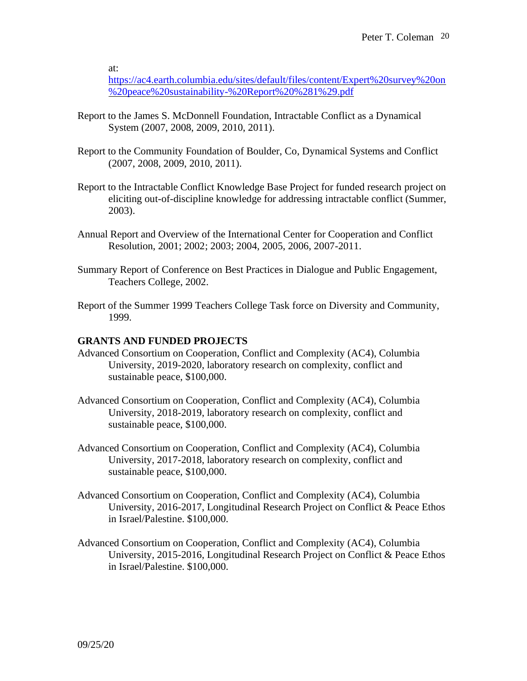at:

[https://ac4.earth.columbia.edu/sites/default/files/content/Expert%20survey%20on](https://ac4.earth.columbia.edu/sites/default/files/content/Expert%20survey%20on%20peace%20sustainability-%20Report%20%281%29.pdf) [%20peace%20sustainability-%20Report%20%281%29.pdf](https://ac4.earth.columbia.edu/sites/default/files/content/Expert%20survey%20on%20peace%20sustainability-%20Report%20%281%29.pdf)

- Report to the James S. McDonnell Foundation, Intractable Conflict as a Dynamical System (2007, 2008, 2009, 2010, 2011).
- Report to the Community Foundation of Boulder, Co, Dynamical Systems and Conflict (2007, 2008, 2009, 2010, 2011).
- Report to the Intractable Conflict Knowledge Base Project for funded research project on eliciting out-of-discipline knowledge for addressing intractable conflict (Summer, 2003).
- Annual Report and Overview of the International Center for Cooperation and Conflict Resolution, 2001; 2002; 2003; 2004, 2005, 2006, 2007-2011.
- Summary Report of Conference on Best Practices in Dialogue and Public Engagement, Teachers College, 2002.
- Report of the Summer 1999 Teachers College Task force on Diversity and Community, 1999.

#### **GRANTS AND FUNDED PROJECTS**

- Advanced Consortium on Cooperation, Conflict and Complexity (AC4), Columbia University, 2019-2020, laboratory research on complexity, conflict and sustainable peace, \$100,000.
- Advanced Consortium on Cooperation, Conflict and Complexity (AC4), Columbia University, 2018-2019, laboratory research on complexity, conflict and sustainable peace, \$100,000.
- Advanced Consortium on Cooperation, Conflict and Complexity (AC4), Columbia University, 2017-2018, laboratory research on complexity, conflict and sustainable peace, \$100,000.
- Advanced Consortium on Cooperation, Conflict and Complexity (AC4), Columbia University, 2016-2017, Longitudinal Research Project on Conflict & Peace Ethos in Israel/Palestine. \$100,000.
- Advanced Consortium on Cooperation, Conflict and Complexity (AC4), Columbia University, 2015-2016, Longitudinal Research Project on Conflict & Peace Ethos in Israel/Palestine. \$100,000.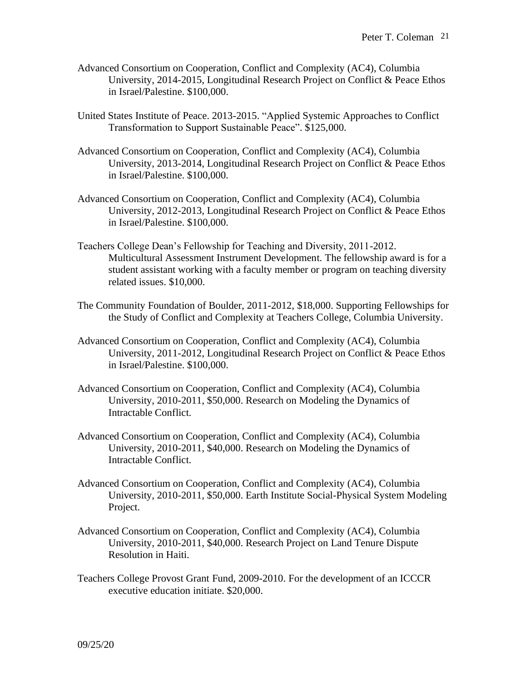- Advanced Consortium on Cooperation, Conflict and Complexity (AC4), Columbia University, 2014-2015, Longitudinal Research Project on Conflict & Peace Ethos in Israel/Palestine. \$100,000.
- United States Institute of Peace. 2013-2015. "Applied Systemic Approaches to Conflict Transformation to Support Sustainable Peace". \$125,000.
- Advanced Consortium on Cooperation, Conflict and Complexity (AC4), Columbia University, 2013-2014, Longitudinal Research Project on Conflict & Peace Ethos in Israel/Palestine. \$100,000.
- Advanced Consortium on Cooperation, Conflict and Complexity (AC4), Columbia University, 2012-2013, Longitudinal Research Project on Conflict & Peace Ethos in Israel/Palestine. \$100,000.
- Teachers College Dean's Fellowship for Teaching and Diversity, 2011-2012. Multicultural Assessment Instrument Development. The fellowship award is for a student assistant working with a faculty member or program on teaching diversity related issues. \$10,000.
- The Community Foundation of Boulder, 2011-2012, \$18,000. Supporting Fellowships for the Study of Conflict and Complexity at Teachers College, Columbia University.
- Advanced Consortium on Cooperation, Conflict and Complexity (AC4), Columbia University, 2011-2012, Longitudinal Research Project on Conflict & Peace Ethos in Israel/Palestine. \$100,000.
- Advanced Consortium on Cooperation, Conflict and Complexity (AC4), Columbia University, 2010-2011, \$50,000. Research on Modeling the Dynamics of Intractable Conflict.
- Advanced Consortium on Cooperation, Conflict and Complexity (AC4), Columbia University, 2010-2011, \$40,000. Research on Modeling the Dynamics of Intractable Conflict.
- Advanced Consortium on Cooperation, Conflict and Complexity (AC4), Columbia University, 2010-2011, \$50,000. Earth Institute Social-Physical System Modeling Project.
- Advanced Consortium on Cooperation, Conflict and Complexity (AC4), Columbia University, 2010-2011, \$40,000. Research Project on Land Tenure Dispute Resolution in Haiti.
- Teachers College Provost Grant Fund, 2009-2010. For the development of an ICCCR executive education initiate. \$20,000.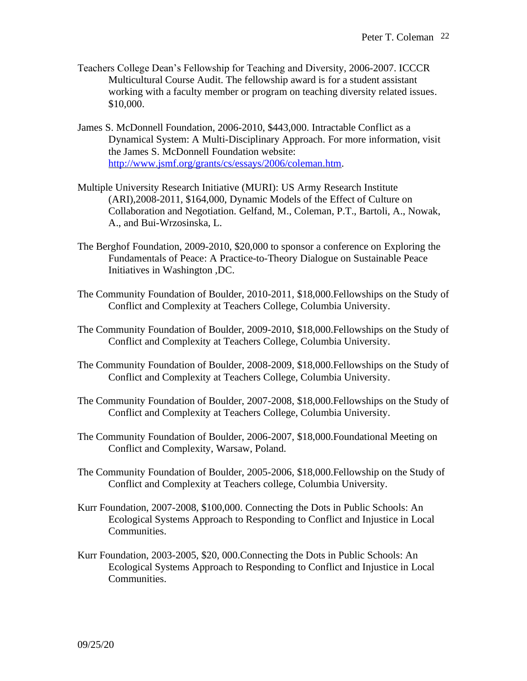- Teachers College Dean's Fellowship for Teaching and Diversity, 2006-2007. ICCCR Multicultural Course Audit. The fellowship award is for a student assistant working with a faculty member or program on teaching diversity related issues. \$10,000.
- James S. McDonnell Foundation, 2006-2010, \$443,000. Intractable Conflict as a Dynamical System: A Multi-Disciplinary Approach. For more information, visit the James S. McDonnell Foundation website: [http://www.jsmf.org/grants/cs/essays/2006/coleman.htm.](http://www.jsmf.org/grants/cs/essays/2006/coleman.htm)
- Multiple University Research Initiative (MURI): US Army Research Institute (ARI),2008-2011, \$164,000, Dynamic Models of the Effect of Culture on Collaboration and Negotiation. Gelfand, M., Coleman, P.T., Bartoli, A., Nowak, A., and Bui-Wrzosinska, L.
- The Berghof Foundation, 2009-2010, \$20,000 to sponsor a conference on Exploring the Fundamentals of Peace: A Practice-to-Theory Dialogue on Sustainable Peace Initiatives in Washington ,DC.
- The Community Foundation of Boulder, 2010-2011, \$18,000.Fellowships on the Study of Conflict and Complexity at Teachers College, Columbia University.
- The Community Foundation of Boulder, 2009-2010, \$18,000.Fellowships on the Study of Conflict and Complexity at Teachers College, Columbia University.
- The Community Foundation of Boulder, 2008-2009, \$18,000.Fellowships on the Study of Conflict and Complexity at Teachers College, Columbia University.
- The Community Foundation of Boulder, 2007-2008, \$18,000.Fellowships on the Study of Conflict and Complexity at Teachers College, Columbia University.
- The Community Foundation of Boulder, 2006-2007, \$18,000.Foundational Meeting on Conflict and Complexity, Warsaw, Poland.
- The Community Foundation of Boulder, 2005-2006, \$18,000.Fellowship on the Study of Conflict and Complexity at Teachers college, Columbia University.
- Kurr Foundation, 2007-2008, \$100,000. Connecting the Dots in Public Schools: An Ecological Systems Approach to Responding to Conflict and Injustice in Local Communities.
- Kurr Foundation, 2003-2005, \$20, 000.Connecting the Dots in Public Schools: An Ecological Systems Approach to Responding to Conflict and Injustice in Local Communities.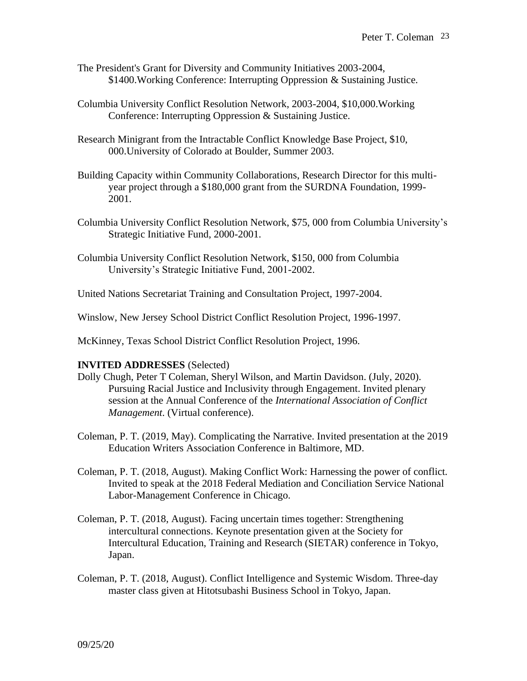- The President's Grant for Diversity and Community Initiatives 2003-2004, \$1400.Working Conference: Interrupting Oppression & Sustaining Justice.
- Columbia University Conflict Resolution Network, 2003-2004, \$10,000.Working Conference: Interrupting Oppression & Sustaining Justice.
- Research Minigrant from the Intractable Conflict Knowledge Base Project, \$10, 000.University of Colorado at Boulder, Summer 2003.
- Building Capacity within Community Collaborations, Research Director for this multiyear project through a \$180,000 grant from the SURDNA Foundation, 1999- 2001.
- Columbia University Conflict Resolution Network, \$75, 000 from Columbia University's Strategic Initiative Fund, 2000-2001.
- Columbia University Conflict Resolution Network, \$150, 000 from Columbia University's Strategic Initiative Fund, 2001-2002.
- United Nations Secretariat Training and Consultation Project, 1997-2004.
- Winslow, New Jersey School District Conflict Resolution Project, 1996-1997.
- McKinney, Texas School District Conflict Resolution Project, 1996.

#### **INVITED ADDRESSES** (Selected)

- Dolly Chugh, Peter T Coleman, Sheryl Wilson, and Martin Davidson. (July, 2020). Pursuing Racial Justice and Inclusivity through Engagement. Invited plenary session at the Annual Conference of the *International Association of Conflict Management*. (Virtual conference).
- Coleman, P. T. (2019, May). Complicating the Narrative. Invited presentation at the 2019 Education Writers Association Conference in Baltimore, MD.
- Coleman, P. T. (2018, August). Making Conflict Work: Harnessing the power of conflict. Invited to speak at the 2018 Federal Mediation and Conciliation Service National Labor-Management Conference in Chicago.
- Coleman, P. T. (2018, August). Facing uncertain times together: Strengthening intercultural connections. Keynote presentation given at the Society for Intercultural Education, Training and Research (SIETAR) conference in Tokyo, Japan.
- Coleman, P. T. (2018, August). Conflict Intelligence and Systemic Wisdom. Three-day master class given at Hitotsubashi Business School in Tokyo, Japan.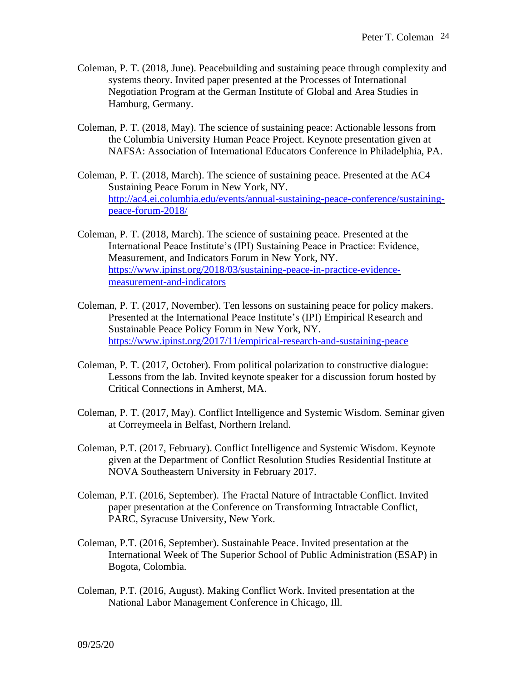- Coleman, P. T. (2018, June). Peacebuilding and sustaining peace through complexity and systems theory. Invited paper presented at the Processes of International Negotiation Program at the German Institute of Global and Area Studies in Hamburg, Germany.
- Coleman, P. T. (2018, May). The science of sustaining peace: Actionable lessons from the Columbia University Human Peace Project. Keynote presentation given at NAFSA: Association of International Educators Conference in Philadelphia, PA.
- Coleman, P. T. (2018, March). The science of sustaining peace. Presented at the AC4 Sustaining Peace Forum in New York, NY. [http://ac4.ei.columbia.edu/events/annual-sustaining-peace-conference/sustaining](http://ac4.ei.columbia.edu/events/annual-sustaining-peace-conference/sustaining-peace-forum-2018/)[peace-forum-2018/](http://ac4.ei.columbia.edu/events/annual-sustaining-peace-conference/sustaining-peace-forum-2018/)
- Coleman, P. T. (2018, March). The science of sustaining peace. Presented at the International Peace Institute's (IPI) Sustaining Peace in Practice: Evidence, Measurement, and Indicators Forum in New York, NY. [https://www.ipinst.org/2018/03/sustaining-peace-in-practice-evidence](https://www.ipinst.org/2018/03/sustaining-peace-in-practice-evidence-measurement-and-indicators)[measurement-and-indicators](https://www.ipinst.org/2018/03/sustaining-peace-in-practice-evidence-measurement-and-indicators)
- Coleman, P. T. (2017, November). Ten lessons on sustaining peace for policy makers. Presented at the International Peace Institute's (IPI) Empirical Research and Sustainable Peace Policy Forum in New York, NY. <https://www.ipinst.org/2017/11/empirical-research-and-sustaining-peace>
- Coleman, P. T. (2017, October). From political polarization to constructive dialogue: Lessons from the lab. Invited keynote speaker for a discussion forum hosted by Critical Connections in Amherst, MA.
- Coleman, P. T. (2017, May). Conflict Intelligence and Systemic Wisdom. Seminar given at Correymeela in Belfast, Northern Ireland.
- Coleman, P.T. (2017, February). Conflict Intelligence and Systemic Wisdom. Keynote given at the Department of Conflict Resolution Studies Residential Institute at NOVA Southeastern University in February 2017.
- Coleman, P.T. (2016, September). The Fractal Nature of Intractable Conflict. Invited paper presentation at the Conference on Transforming Intractable Conflict, PARC, Syracuse University, New York.
- Coleman, P.T. (2016, September). Sustainable Peace. Invited presentation at the International Week of The Superior School of Public Administration (ESAP) in Bogota, Colombia.
- Coleman, P.T. (2016, August). Making Conflict Work. Invited presentation at the National Labor Management Conference in Chicago, Ill.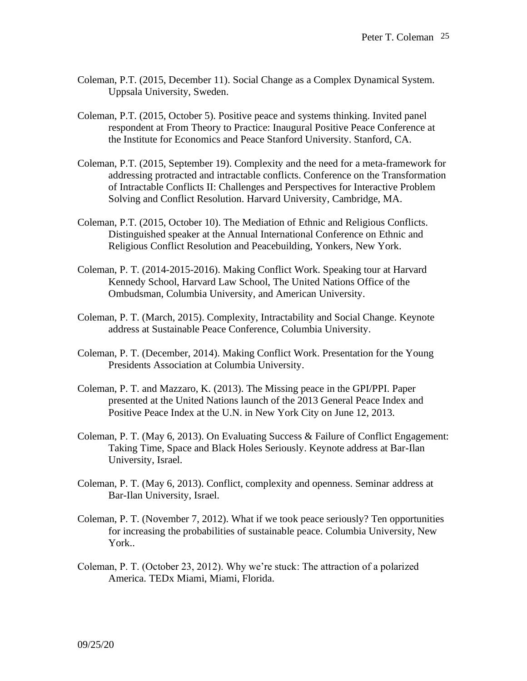- Coleman, P.T. (2015, December 11). Social Change as a Complex Dynamical System. Uppsala University, Sweden.
- Coleman, P.T. (2015, October 5). Positive peace and systems thinking. Invited panel respondent at From Theory to Practice: Inaugural Positive Peace Conference at the Institute for Economics and Peace Stanford University. Stanford, CA.
- Coleman, P.T. (2015, September 19). Complexity and the need for a meta-framework for addressing protracted and intractable conflicts. Conference on the Transformation of Intractable Conflicts II: Challenges and Perspectives for Interactive Problem Solving and Conflict Resolution. Harvard University, Cambridge, MA.
- Coleman, P.T. (2015, October 10). The Mediation of Ethnic and Religious Conflicts. Distinguished speaker at the Annual International Conference on Ethnic and Religious Conflict Resolution and Peacebuilding, Yonkers, New York.
- Coleman, P. T. (2014-2015-2016). Making Conflict Work. Speaking tour at Harvard Kennedy School, Harvard Law School, The United Nations Office of the Ombudsman, Columbia University, and American University.
- Coleman, P. T. (March, 2015). Complexity, Intractability and Social Change. Keynote address at Sustainable Peace Conference, Columbia University.
- Coleman, P. T. (December, 2014). Making Conflict Work. Presentation for the Young Presidents Association at Columbia University.
- Coleman, P. T. and Mazzaro, K. (2013). The Missing peace in the GPI/PPI. Paper presented at the United Nations launch of the 2013 General Peace Index and Positive Peace Index at the U.N. in New York City on June 12, 2013.
- Coleman, P. T. (May 6, 2013). On Evaluating Success & Failure of Conflict Engagement: Taking Time, Space and Black Holes Seriously. Keynote address at Bar-Ilan University, Israel.
- Coleman, P. T. (May 6, 2013). Conflict, complexity and openness. Seminar address at Bar-Ilan University, Israel.
- Coleman, P. T. (November 7, 2012). What if we took peace seriously? Ten opportunities for increasing the probabilities of sustainable peace. Columbia University, New York..
- Coleman, P. T. (October 23, 2012). Why we're stuck: The attraction of a polarized America. TEDx Miami, Miami, Florida.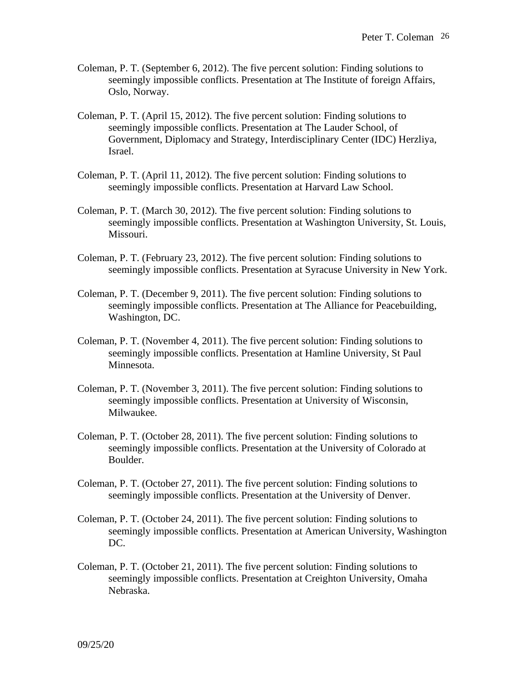- Coleman, P. T. (September 6, 2012). The five percent solution: Finding solutions to seemingly impossible conflicts. Presentation at The Institute of foreign Affairs, Oslo, Norway.
- Coleman, P. T. (April 15, 2012). The five percent solution: Finding solutions to seemingly impossible conflicts. Presentation at The Lauder School, of Government, Diplomacy and Strategy, Interdisciplinary Center (IDC) Herzliya, Israel.
- Coleman, P. T. (April 11, 2012). The five percent solution: Finding solutions to seemingly impossible conflicts. Presentation at Harvard Law School.
- Coleman, P. T. (March 30, 2012). The five percent solution: Finding solutions to seemingly impossible conflicts. Presentation at Washington University, St. Louis, Missouri.
- Coleman, P. T. (February 23, 2012). The five percent solution: Finding solutions to seemingly impossible conflicts. Presentation at Syracuse University in New York.
- Coleman, P. T. (December 9, 2011). The five percent solution: Finding solutions to seemingly impossible conflicts. Presentation at The Alliance for Peacebuilding, Washington, DC.
- Coleman, P. T. (November 4, 2011). The five percent solution: Finding solutions to seemingly impossible conflicts. Presentation at Hamline University, St Paul Minnesota.
- Coleman, P. T. (November 3, 2011). The five percent solution: Finding solutions to seemingly impossible conflicts. Presentation at University of Wisconsin, Milwaukee.
- Coleman, P. T. (October 28, 2011). The five percent solution: Finding solutions to seemingly impossible conflicts. Presentation at the University of Colorado at Boulder.
- Coleman, P. T. (October 27, 2011). The five percent solution: Finding solutions to seemingly impossible conflicts. Presentation at the University of Denver.
- Coleman, P. T. (October 24, 2011). The five percent solution: Finding solutions to seemingly impossible conflicts. Presentation at American University, Washington DC.
- Coleman, P. T. (October 21, 2011). The five percent solution: Finding solutions to seemingly impossible conflicts. Presentation at Creighton University, Omaha Nebraska.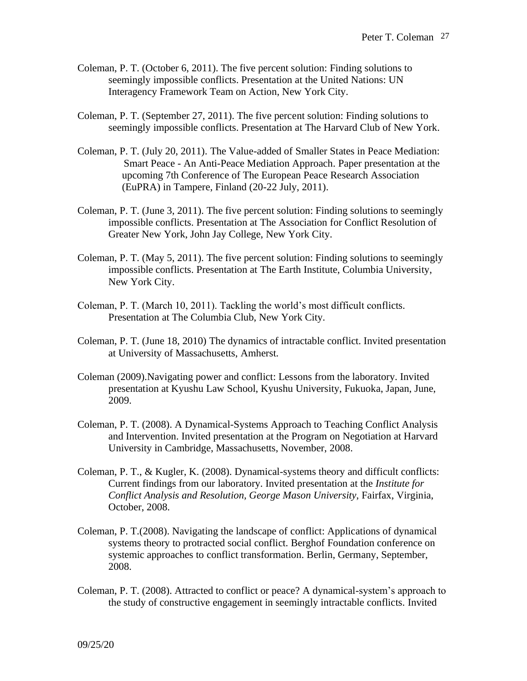- Coleman, P. T. (October 6, 2011). The five percent solution: Finding solutions to seemingly impossible conflicts. Presentation at the United Nations: UN Interagency Framework Team on Action, New York City.
- Coleman, P. T. (September 27, 2011). The five percent solution: Finding solutions to seemingly impossible conflicts. Presentation at The Harvard Club of New York.
- Coleman, P. T. (July 20, 2011). The Value-added of Smaller States in Peace Mediation: Smart Peace - An Anti-Peace Mediation Approach. Paper presentation at the upcoming 7th Conference of The European Peace Research Association (EuPRA) in Tampere, Finland (20-22 July, 2011).
- Coleman, P. T. (June 3, 2011). The five percent solution: Finding solutions to seemingly impossible conflicts. Presentation at The Association for Conflict Resolution of Greater New York, John Jay College, New York City.
- Coleman, P. T. (May 5, 2011). The five percent solution: Finding solutions to seemingly impossible conflicts. Presentation at The Earth Institute, Columbia University, New York City.
- Coleman, P. T. (March 10, 2011). Tackling the world's most difficult conflicts. Presentation at The Columbia Club, New York City.
- Coleman, P. T. (June 18, 2010) The dynamics of intractable conflict. Invited presentation at University of Massachusetts, Amherst.
- Coleman (2009).Navigating power and conflict: Lessons from the laboratory. Invited presentation at Kyushu Law School, Kyushu University, Fukuoka, Japan, June, 2009.
- Coleman, P. T. (2008). A Dynamical-Systems Approach to Teaching Conflict Analysis and Intervention. Invited presentation at the Program on Negotiation at Harvard University in Cambridge, Massachusetts, November, 2008.
- Coleman, P. T., & Kugler, K. (2008). Dynamical-systems theory and difficult conflicts: Current findings from our laboratory. Invited presentation at the *Institute for Conflict Analysis and Resolution, George Mason University*, Fairfax, Virginia, October, 2008.
- Coleman, P. T.(2008). Navigating the landscape of conflict: Applications of dynamical systems theory to protracted social conflict. Berghof Foundation conference on systemic approaches to conflict transformation. Berlin, Germany, September, 2008.
- Coleman, P. T. (2008). Attracted to conflict or peace? A dynamical-system's approach to the study of constructive engagement in seemingly intractable conflicts. Invited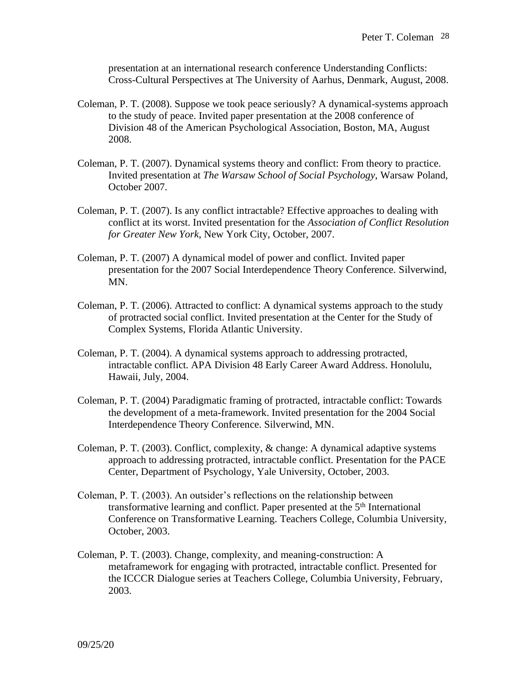presentation at an international research conference Understanding Conflicts: Cross-Cultural Perspectives at The University of Aarhus, Denmark, August, 2008.

- Coleman, P. T. (2008). Suppose we took peace seriously? A dynamical-systems approach to the study of peace. Invited paper presentation at the 2008 conference of Division 48 of the American Psychological Association, Boston, MA, August 2008.
- Coleman, P. T. (2007). Dynamical systems theory and conflict: From theory to practice. Invited presentation at *The Warsaw School of Social Psychology*, Warsaw Poland, October 2007.
- Coleman, P. T. (2007). Is any conflict intractable? Effective approaches to dealing with conflict at its worst. Invited presentation for the *Association of Conflict Resolution for Greater New York*, New York City, October, 2007.
- Coleman, P. T. (2007) A dynamical model of power and conflict. Invited paper presentation for the 2007 Social Interdependence Theory Conference. Silverwind, MN.
- Coleman, P. T. (2006). Attracted to conflict: A dynamical systems approach to the study of protracted social conflict. Invited presentation at the Center for the Study of Complex Systems, Florida Atlantic University.
- Coleman, P. T. (2004). A dynamical systems approach to addressing protracted, intractable conflict. APA Division 48 Early Career Award Address. Honolulu, Hawaii, July, 2004.
- Coleman, P. T. (2004) Paradigmatic framing of protracted, intractable conflict: Towards the development of a meta-framework. Invited presentation for the 2004 Social Interdependence Theory Conference. Silverwind, MN.
- Coleman, P. T. (2003). Conflict, complexity, & change: A dynamical adaptive systems approach to addressing protracted, intractable conflict. Presentation for the PACE Center, Department of Psychology, Yale University, October, 2003.
- Coleman, P. T. (2003). An outsider's reflections on the relationship between transformative learning and conflict. Paper presented at the 5<sup>th</sup> International Conference on Transformative Learning. Teachers College, Columbia University, October, 2003.
- Coleman, P. T. (2003). Change, complexity, and meaning-construction: A metaframework for engaging with protracted, intractable conflict. Presented for the ICCCR Dialogue series at Teachers College, Columbia University, February, 2003.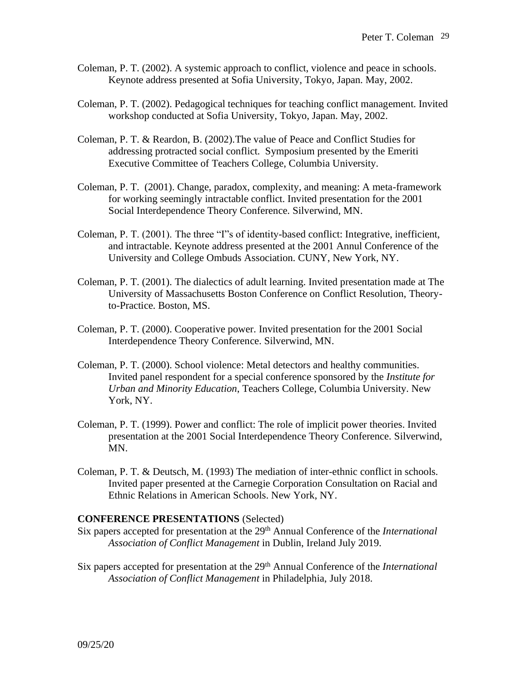- Coleman, P. T. (2002). A systemic approach to conflict, violence and peace in schools. Keynote address presented at Sofia University, Tokyo, Japan. May, 2002.
- Coleman, P. T. (2002). Pedagogical techniques for teaching conflict management. Invited workshop conducted at Sofia University, Tokyo, Japan. May, 2002.
- Coleman, P. T. & Reardon, B. (2002).The value of Peace and Conflict Studies for addressing protracted social conflict. Symposium presented by the Emeriti Executive Committee of Teachers College, Columbia University.
- Coleman, P. T. (2001). Change, paradox, complexity, and meaning: A meta-framework for working seemingly intractable conflict. Invited presentation for the 2001 Social Interdependence Theory Conference. Silverwind, MN.
- Coleman, P. T. (2001). The three "I"s of identity-based conflict: Integrative, inefficient, and intractable. Keynote address presented at the 2001 Annul Conference of the University and College Ombuds Association. CUNY, New York, NY.
- Coleman, P. T. (2001). The dialectics of adult learning. Invited presentation made at The University of Massachusetts Boston Conference on Conflict Resolution, Theoryto-Practice. Boston, MS.
- Coleman, P. T. (2000). Cooperative power. Invited presentation for the 2001 Social Interdependence Theory Conference. Silverwind, MN.
- Coleman, P. T. (2000). School violence: Metal detectors and healthy communities. Invited panel respondent for a special conference sponsored by the *Institute for Urban and Minority Education*, Teachers College, Columbia University. New York, NY.
- Coleman, P. T. (1999). Power and conflict: The role of implicit power theories. Invited presentation at the 2001 Social Interdependence Theory Conference. Silverwind, MN.
- Coleman, P. T. & Deutsch, M. (1993) The mediation of inter-ethnic conflict in schools*.* Invited paper presented at the Carnegie Corporation Consultation on Racial and Ethnic Relations in American Schools. New York, NY.

#### **CONFERENCE PRESENTATIONS** (Selected)

- Six papers accepted for presentation at the 29<sup>th</sup> Annual Conference of the *International Association of Conflict Management* in Dublin, Ireland July 2019.
- Six papers accepted for presentation at the 29<sup>th</sup> Annual Conference of the *International Association of Conflict Management* in Philadelphia, July 2018.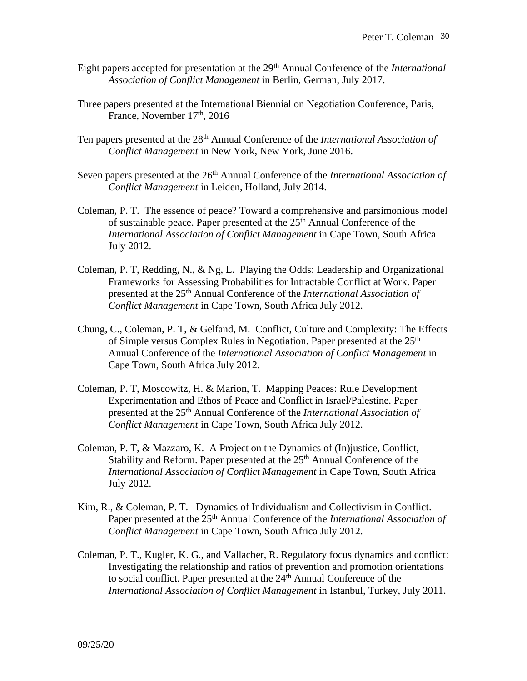- Eight papers accepted for presentation at the 29<sup>th</sup> Annual Conference of the *International Association of Conflict Management* in Berlin, German, July 2017.
- Three papers presented at the International Biennial on Negotiation Conference, Paris, France, November 17<sup>th</sup>, 2016
- Ten papers presented at the 28<sup>th</sup> Annual Conference of the *International Association of Conflict Management* in New York, New York, June 2016.
- Seven papers presented at the 26<sup>th</sup> Annual Conference of the *International Association of Conflict Management* in Leiden, Holland, July 2014.
- Coleman, P. T. The essence of peace? Toward a comprehensive and parsimonious model of sustainable peace. Paper presented at the 25<sup>th</sup> Annual Conference of the *International Association of Conflict Management* in Cape Town, South Africa July 2012.
- Coleman, P. T, Redding, N., & Ng, L. Playing the Odds: Leadership and Organizational Frameworks for Assessing Probabilities for Intractable Conflict at Work. Paper presented at the 25th Annual Conference of the *International Association of Conflict Management* in Cape Town, South Africa July 2012.
- Chung, C., Coleman, P. T, & Gelfand, M. Conflict, Culture and Complexity: The Effects of Simple versus Complex Rules in Negotiation. Paper presented at the 25<sup>th</sup> Annual Conference of the *International Association of Conflict Management* in Cape Town, South Africa July 2012.
- Coleman, P. T, Moscowitz, H. & Marion, T. Mapping Peaces: Rule Development Experimentation and Ethos of Peace and Conflict in Israel/Palestine. Paper presented at the 25th Annual Conference of the *International Association of Conflict Management* in Cape Town, South Africa July 2012.
- Coleman, P. T, & Mazzaro, K. A Project on the Dynamics of (In)justice, Conflict, Stability and Reform. Paper presented at the 25<sup>th</sup> Annual Conference of the *International Association of Conflict Management* in Cape Town, South Africa July 2012.
- Kim, R., & Coleman, P. T. Dynamics of Individualism and Collectivism in Conflict. Paper presented at the 25<sup>th</sup> Annual Conference of the *International Association of Conflict Management* in Cape Town, South Africa July 2012.
- Coleman, P. T., Kugler, K. G., and Vallacher, R. Regulatory focus dynamics and conflict: Investigating the relationship and ratios of prevention and promotion orientations to social conflict. Paper presented at the  $24<sup>th</sup>$  Annual Conference of the *International Association of Conflict Management* in Istanbul, Turkey, July 2011.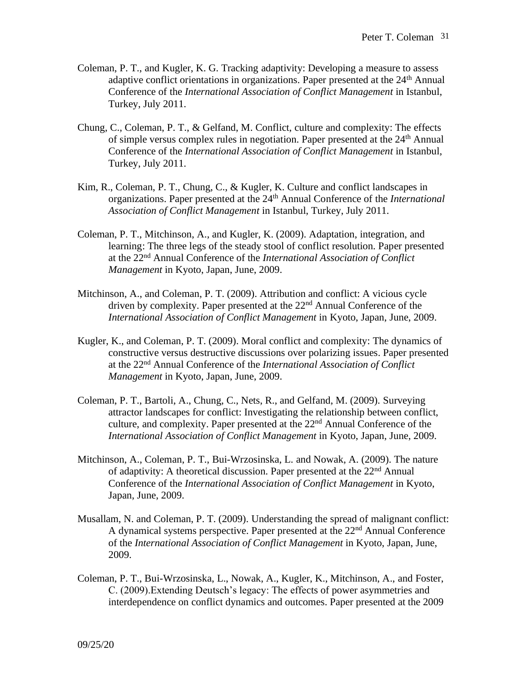- Coleman, P. T., and Kugler, K. G. Tracking adaptivity: Developing a measure to assess adaptive conflict orientations in organizations. Paper presented at the 24<sup>th</sup> Annual Conference of the *International Association of Conflict Management* in Istanbul, Turkey, July 2011.
- Chung, C., Coleman, P. T., & Gelfand, M. Conflict, culture and complexity: The effects of simple versus complex rules in negotiation. Paper presented at the  $24<sup>th</sup>$  Annual Conference of the *International Association of Conflict Management* in Istanbul, Turkey, July 2011.
- Kim, R., Coleman, P. T., Chung, C., & Kugler, K. Culture and conflict landscapes in organizations. Paper presented at the 24th Annual Conference of the *International Association of Conflict Management* in Istanbul, Turkey, July 2011.
- Coleman, P. T., Mitchinson, A., and Kugler, K. (2009). Adaptation, integration, and learning: The three legs of the steady stool of conflict resolution. Paper presented at the 22nd Annual Conference of the *International Association of Conflict Management* in Kyoto, Japan, June, 2009.
- Mitchinson, A., and Coleman, P. T. (2009). Attribution and conflict: A vicious cycle driven by complexity. Paper presented at the 22<sup>nd</sup> Annual Conference of the *International Association of Conflict Management* in Kyoto, Japan, June, 2009.
- Kugler, K., and Coleman, P. T. (2009). Moral conflict and complexity: The dynamics of constructive versus destructive discussions over polarizing issues. Paper presented at the 22nd Annual Conference of the *International Association of Conflict Management* in Kyoto, Japan, June, 2009.
- Coleman, P. T., Bartoli, A., Chung, C., Nets, R., and Gelfand, M. (2009). Surveying attractor landscapes for conflict: Investigating the relationship between conflict, culture, and complexity. Paper presented at the 22nd Annual Conference of the *International Association of Conflict Management* in Kyoto, Japan, June, 2009.
- Mitchinson, A., Coleman, P. T., Bui-Wrzosinska, L. and Nowak, A. (2009). The nature of adaptivity: A theoretical discussion. Paper presented at the 22<sup>nd</sup> Annual Conference of the *International Association of Conflict Management* in Kyoto, Japan, June, 2009.
- Musallam, N. and Coleman, P. T. (2009). Understanding the spread of malignant conflict: A dynamical systems perspective. Paper presented at the  $22<sup>nd</sup>$  Annual Conference of the *International Association of Conflict Management* in Kyoto, Japan, June, 2009.
- Coleman, P. T., Bui-Wrzosinska, L., Nowak, A., Kugler, K., Mitchinson, A., and Foster, C. (2009).Extending Deutsch's legacy: The effects of power asymmetries and interdependence on conflict dynamics and outcomes. Paper presented at the 2009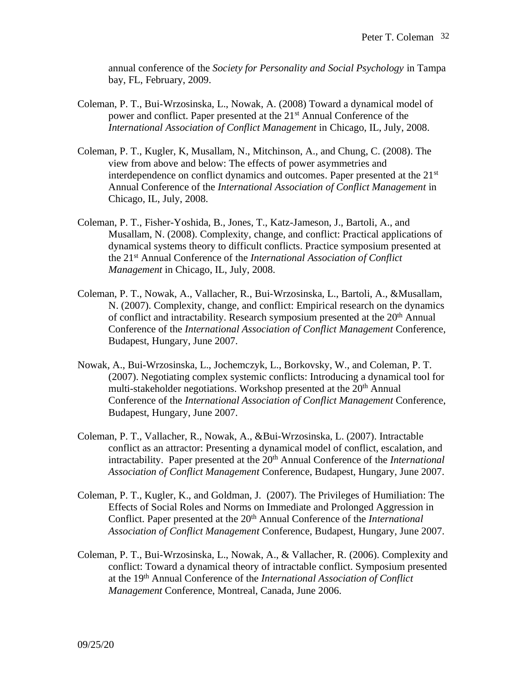annual conference of the *Society for Personality and Social Psychology* in Tampa bay, FL, February, 2009.

- Coleman, P. T., Bui-Wrzosinska, L., Nowak, A. (2008) Toward a dynamical model of power and conflict. Paper presented at the 21<sup>st</sup> Annual Conference of the *International Association of Conflict Management* in Chicago, IL, July, 2008.
- Coleman, P. T., Kugler, K, Musallam, N., Mitchinson, A., and Chung, C. (2008). The view from above and below: The effects of power asymmetries and interdependence on conflict dynamics and outcomes. Paper presented at the 21<sup>st</sup> Annual Conference of the *International Association of Conflict Management* in Chicago, IL, July, 2008.
- Coleman, P. T., Fisher-Yoshida, B., Jones, T., Katz-Jameson, J., Bartoli, A., and Musallam, N. (2008). Complexity, change, and conflict: Practical applications of dynamical systems theory to difficult conflicts. Practice symposium presented at the 21st Annual Conference of the *International Association of Conflict Management* in Chicago, IL, July, 2008.
- Coleman, P. T., Nowak, A., Vallacher, R., Bui-Wrzosinska, L., Bartoli, A., &Musallam, N. (2007). Complexity, change, and conflict: Empirical research on the dynamics of conflict and intractability. Research symposium presented at the 20<sup>th</sup> Annual Conference of the *International Association of Conflict Management* Conference, Budapest, Hungary, June 2007.
- Nowak, A., Bui-Wrzosinska, L., Jochemczyk, L., Borkovsky, W., and Coleman, P. T. (2007). Negotiating complex systemic conflicts: Introducing a dynamical tool for multi-stakeholder negotiations. Workshop presented at the 20<sup>th</sup> Annual Conference of the *International Association of Conflict Management* Conference, Budapest, Hungary, June 2007.
- Coleman, P. T., Vallacher, R., Nowak, A., &Bui-Wrzosinska, L. (2007). Intractable conflict as an attractor: Presenting a dynamical model of conflict, escalation, and intractability. Paper presented at the 20<sup>th</sup> Annual Conference of the *International Association of Conflict Management* Conference, Budapest, Hungary, June 2007.
- Coleman, P. T., Kugler, K., and Goldman, J. (2007). The Privileges of Humiliation: The Effects of Social Roles and Norms on Immediate and Prolonged Aggression in Conflict. Paper presented at the 20<sup>th</sup> Annual Conference of the *International Association of Conflict Management* Conference, Budapest, Hungary, June 2007.
- Coleman, P. T., Bui-Wrzosinska, L., Nowak, A., & Vallacher, R. (2006). Complexity and conflict: Toward a dynamical theory of intractable conflict. Symposium presented at the 19th Annual Conference of the *International Association of Conflict Management* Conference, Montreal, Canada, June 2006.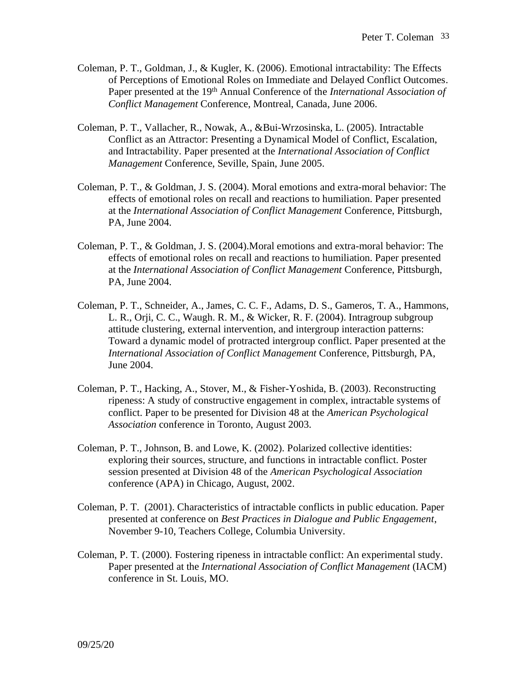- Coleman, P. T., Goldman, J., & Kugler, K. (2006). Emotional intractability: The Effects of Perceptions of Emotional Roles on Immediate and Delayed Conflict Outcomes. Paper presented at the 19th Annual Conference of the *International Association of Conflict Management* Conference, Montreal, Canada, June 2006.
- Coleman, P. T., Vallacher, R., Nowak, A., &Bui-Wrzosinska, L. (2005). Intractable Conflict as an Attractor: Presenting a Dynamical Model of Conflict, Escalation, and Intractability. Paper presented at the *International Association of Conflict Management* Conference, Seville, Spain, June 2005.
- Coleman, P. T., & Goldman, J. S. (2004). Moral emotions and extra-moral behavior: The effects of emotional roles on recall and reactions to humiliation. Paper presented at the *International Association of Conflict Management* Conference, Pittsburgh, PA, June 2004.
- Coleman, P. T., & Goldman, J. S. (2004).Moral emotions and extra-moral behavior: The effects of emotional roles on recall and reactions to humiliation. Paper presented at the *International Association of Conflict Management* Conference, Pittsburgh, PA, June 2004.
- Coleman, P. T., Schneider, A., James, C. C. F., Adams, D. S., Gameros, T. A., Hammons, L. R., Orji, C. C., Waugh. R. M., & Wicker, R. F. (2004). Intragroup subgroup attitude clustering, external intervention, and intergroup interaction patterns: Toward a dynamic model of protracted intergroup conflict. Paper presented at the *International Association of Conflict Management* Conference, Pittsburgh, PA, June 2004.
- Coleman, P. T., Hacking, A., Stover, M., & Fisher-Yoshida, B. (2003). Reconstructing ripeness: A study of constructive engagement in complex, intractable systems of conflict. Paper to be presented for Division 48 at the *American Psychological Association* conference in Toronto, August 2003.
- Coleman, P. T., Johnson, B. and Lowe, K. (2002). Polarized collective identities: exploring their sources, structure, and functions in intractable conflict. Poster session presented at Division 48 of the *American Psychological Association* conference (APA) in Chicago, August, 2002.
- Coleman, P. T. (2001). Characteristics of intractable conflicts in public education. Paper presented at conference on *Best Practices in Dialogue and Public Engagement*, November 9-10, Teachers College, Columbia University.
- Coleman, P. T. (2000). Fostering ripeness in intractable conflict: An experimental study. Paper presented at the *International Association of Conflict Management* (IACM) conference in St. Louis, MO.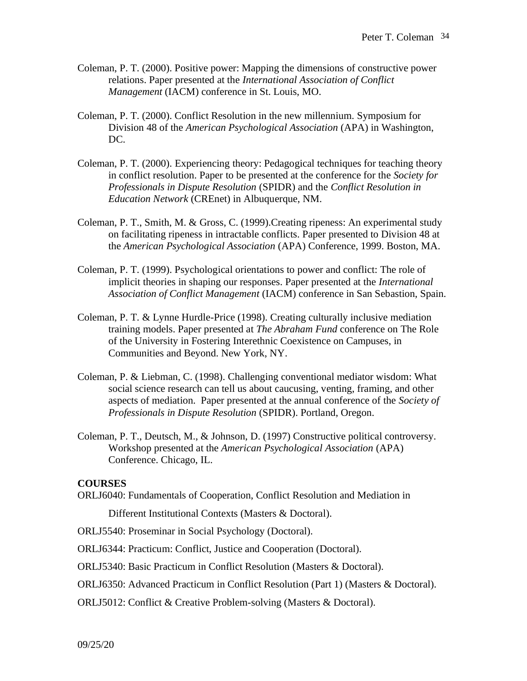- Coleman, P. T. (2000). Positive power: Mapping the dimensions of constructive power relations. Paper presented at the *International Association of Conflict Management* (IACM) conference in St. Louis, MO.
- Coleman, P. T. (2000). Conflict Resolution in the new millennium. Symposium for Division 48 of the *American Psychological Association* (APA) in Washington, DC.
- Coleman, P. T. (2000). Experiencing theory: Pedagogical techniques for teaching theory in conflict resolution. Paper to be presented at the conference for the *Society for Professionals in Dispute Resolution* (SPIDR) and the *Conflict Resolution in Education Network* (CREnet) in Albuquerque, NM.
- Coleman, P. T., Smith, M. & Gross, C. (1999).Creating ripeness: An experimental study on facilitating ripeness in intractable conflicts. Paper presented to Division 48 at the *American Psychological Association* (APA) Conference, 1999. Boston, MA.
- Coleman, P. T. (1999). Psychological orientations to power and conflict: The role of implicit theories in shaping our responses. Paper presented at the *International Association of Conflict Management* (IACM) conference in San Sebastion, Spain.
- Coleman, P. T. & Lynne Hurdle-Price (1998). Creating culturally inclusive mediation training models. Paper presented at *The Abraham Fund* conference on The Role of the University in Fostering Interethnic Coexistence on Campuses, in Communities and Beyond. New York, NY.
- Coleman, P. & Liebman, C. (1998). Challenging conventional mediator wisdom: What social science research can tell us about caucusing, venting, framing, and other aspects of mediation. Paper presented at the annual conference of the *Society of Professionals in Dispute Resolution* (SPIDR). Portland, Oregon.
- Coleman, P. T., Deutsch, M., & Johnson, D. (1997) Constructive political controversy. Workshop presented at the *American Psychological Association* (APA) Conference. Chicago, IL.

#### **COURSES**

ORLJ6040: Fundamentals of Cooperation, Conflict Resolution and Mediation in

Different Institutional Contexts (Masters & Doctoral).

ORLJ5540: Proseminar in Social Psychology (Doctoral).

ORLJ6344: Practicum: Conflict, Justice and Cooperation (Doctoral).

- ORLJ5340: Basic Practicum in Conflict Resolution (Masters & Doctoral).
- ORLJ6350: Advanced Practicum in Conflict Resolution (Part 1) (Masters & Doctoral).
- ORLJ5012: Conflict & Creative Problem-solving (Masters & Doctoral).